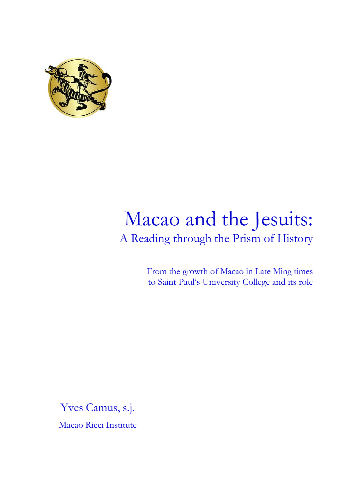

# Macao and the Jesuits: A Reading through the Prism of History

From the growth of Macao in Late Ming times to Saint Paul's University College and its role

Yves Camus, s.j. Macao Ricci Institute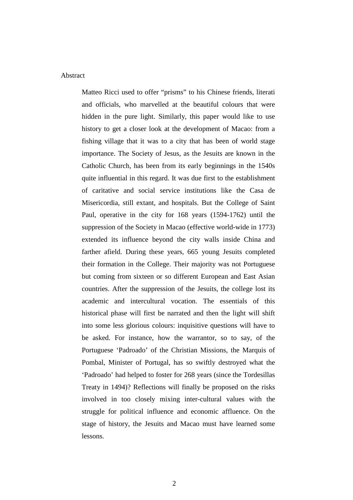#### Abstract

Matteo Ricci used to offer "prisms" to his Chinese friends, literati and officials, who marvelled at the beautiful colours that were hidden in the pure light. Similarly, this paper would like to use history to get a closer look at the development of Macao: from a fishing village that it was to a city that has been of world stage importance. The Society of Jesus, as the Jesuits are known in the Catholic Church, has been from its early beginnings in the 1540s quite influential in this regard. It was due first to the establishment of caritative and social service institutions like the Casa de Misericordia, still extant, and hospitals. But the College of Saint Paul, operative in the city for 168 years (1594-1762) until the suppression of the Society in Macao (effective world-wide in 1773) extended its influence beyond the city walls inside China and farther afield. During these years, 665 young Jesuits completed their formation in the College. Their majority was not Portuguese but coming from sixteen or so different European and East Asian countries. After the suppression of the Jesuits, the college lost its academic and intercultural vocation. The essentials of this historical phase will first be narrated and then the light will shift into some less glorious colours: inquisitive questions will have to be asked. For instance, how the warrantor, so to say, of the Portuguese 'Padroado' of the Christian Missions, the Marquis of Pombal, Minister of Portugal, has so swiftly destroyed what the 'Padroado' had helped to foster for 268 years (since the Tordesillas Treaty in 1494)? Reflections will finally be proposed on the risks involved in too closely mixing inter-cultural values with the struggle for political influence and economic affluence. On the stage of history, the Jesuits and Macao must have learned some lessons.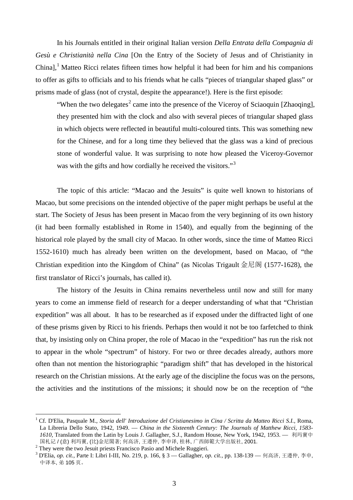In his Journals entitled in their original Italian version *Della Entrata della Compagnia di Gesù e Christianità nella Cina* [On the Entry of the Society of Jesus and of Christianity in China], [1](#page-2-0) Matteo Ricci relates fifteen times how helpful it had been for him and his companions to offer as gifts to officials and to his friends what he calls "pieces of triangular shaped glass" or prisms made of glass (not of crystal, despite the appearance!). Here is the first episode:

"When the two delegates<sup>[2](#page-2-1)</sup> came into the presence of the Viceroy of Sciaoquin [Zhaoqing], they presented him with the clock and also with several pieces of triangular shaped glass in which objects were reflected in beautiful multi-coloured tints. This was something new for the Chinese, and for a long time they believed that the glass was a kind of precious stone of wonderful value. It was surprising to note how pleased the Viceroy-Governor was with the gifts and how cordially he received the visitors."<sup>[3](#page-2-2)</sup>

The topic of this article: "Macao and the Jesuits" is quite well known to historians of Macao, but some precisions on the intended objective of the paper might perhaps be useful at the start. The Society of Jesus has been present in Macao from the very beginning of its own history (it had been formally established in Rome in 1540), and equally from the beginning of the historical role played by the small city of Macao. In other words, since the time of Matteo Ricci 1552-1610) much has already been written on the development, based on Macao, of "the Christian expedition into the Kingdom of China" (as Nicolas Trigault 金尼阁 (1577-1628), the first translator of Ricci's journals, has called it).

The history of the Jesuits in China remains nevertheless until now and still for many years to come an immense field of research for a deeper understanding of what that "Christian expedition" was all about. It has to be researched as if exposed under the diffracted light of one of these prisms given by Ricci to his friends. Perhaps then would it not be too farfetched to think that, by insisting only on China proper, the role of Macao in the "expedition" has run the risk not to appear in the whole "spectrum" of history. For two or three decades already, authors more often than not mention the historiographic "paradigm shift" that has developed in the historical research on the Christian missions. At the early age of the discipline the focus was on the persons, the activities and the institutions of the missions; it should now be on the reception of "the

<span id="page-2-0"></span> <sup>1</sup> Cf. [D'Elia, Pasquale M.,](http://192.168.1.2/cgi-bin/webopac.pl?f_id=rel_srch&a_type=A&trt=BK003050017&weba=26BH7) *Storia dell' Introduzione del Cristianesimo in Cina / Scritta da Matteo Ricci S.I.*, Roma, La Libreria Dello Stato, 1942, 1949. — *China in the Sixteenth Century: The Journals of Matthew Ricci, 1583- 1610,* Translated from the Latin by Louis J. Gallagher, S.J., Random House, New York, 1942, 1953. — 利玛竇中 国札记 / (意) 利玛竇, (比)金尼閣著; 何高济, 王遵仲, 李申译, 桂林, 广西師範大学出版社, 2001.<br><sup>2</sup> Thev were the two Jesuit priests Francisco Pasio and Michele Ruggieri.

<span id="page-2-1"></span>

<span id="page-2-2"></span><sup>&</sup>lt;sup>3</sup> D'Elia, *op. cit.*, Parte I: Libri I-III, No. 219, p. 166, § 3 — Gallagher, *op. cit.*, pp. 138-139 — 何高济, 王遵仲, 李申, 中译本, 弟 105 页。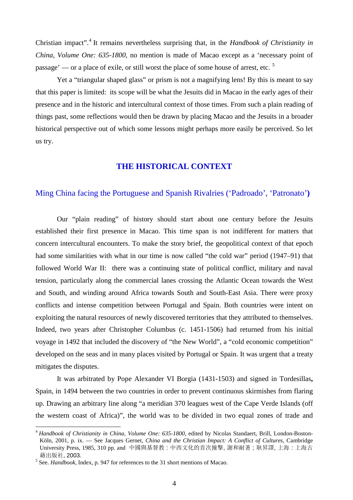Christian impact". [4](#page-3-0) It remains nevertheless surprising that, in the *Handbook of Christianity in China, Volume One: 635-1800*, no mention is made of Macao except as a 'necessary point of passage' — or a place of exile, or still worst the place of some house of arrest, etc. [5](#page-3-1)

Yet a "triangular shaped glass" or prism is not a magnifying lens! By this is meant to say that this paper is limited: its scope will be what the Jesuits did in Macao in the early ages of their presence and in the historic and intercultural context of those times. From such a plain reading of things past, some reflections would then be drawn by placing Macao and the Jesuits in a broader historical perspective out of which some lessons might perhaps more easily be perceived. So let us try.

## **THE HISTORICAL CONTEXT**

## Ming China facing the Portuguese and Spanish Rivalries ('Padroado', 'Patronato'**)**

Our "plain reading" of history should start about one century before the Jesuits established their first presence in Macao. This time span is not indifferent for matters that concern intercultural encounters. To make the story brief, the geopolitical context of that epoch had some similarities with what in our time is now called "the cold war" period (1947–91) that followed World War II: there was a continuing state of political conflict, military and naval tension, particularly along the commercial lanes crossing the Atlantic Ocean towards the West and South, and winding around Africa towards South and South-East Asia. There were proxy conflicts and intense competition between Portugal and Spain. Both countries were intent on exploiting the natural resources of newly discovered territories that they attributed to themselves. Indeed, two years after Christopher Columbus (c. 1451-1506) had returned from his initial voyage in 1492 that included the discovery of "the New World", a "cold economic competition" developed on the seas and in many places visited by Portugal or Spain. It was urgent that a treaty mitigates the disputes.

It was arbitrated by Pope Alexander VI Borgia (1431-1503) and signed in Tordesillas**,**  Spain, in 1494 between the two countries in order to prevent continuous skirmishes from flaring up. Drawing an arbitrary line along "a [meridian](http://en.wikipedia.org/wiki/Meridian_(geography)) 370 [leagues](http://en.wikipedia.org/wiki/League_(unit)) west of the [Cape Verde](http://en.wikipedia.org/wiki/Cape_Verde) Islands (off the western coast of Africa)", the world was to be divided in two equal zones of trade and

<span id="page-3-0"></span> <sup>4</sup> *Handbook of Christianity in China, Volume One: 635-1800*, edited by Nicolas Standaert, Brill, London-Boston-Köln, 2001, p. ix. - See Jacques Gernet, China and the Christian Impact: A Conflict of Cultures, Cambridge University Press, 1985, 310 pp. and 中國與基督教 : 中西文化的首次撞擊, 謝和耐著 ; 耿昇譯, 上海 : 上海古 藉出版社, 2003. <sup>5</sup> See. *Handbook*, Index, p. 947 for references to the 31 short mentions of Macao.

<span id="page-3-1"></span>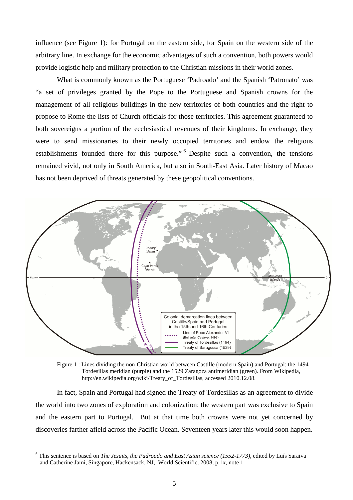influence (see Figure 1): for Portugal on the eastern side, for Spain on the western side of the arbitrary line. In exchange for the economic advantages of such a convention, both powers would provide logistic help and military protection to the Christian missions in their world zones.

What is commonly known as the Portuguese 'Padroado' and the Spanish 'Patronato' was "a set of privileges granted by the Pope to the Portuguese and Spanish crowns for the management of all religious buildings in the new territories of both countries and the right to propose to Rome the lists of Church officials for those territories. This agreement guaranteed to both sovereigns a portion of the ecclesiastical revenues of their kingdoms. In exchange, they were to send missionaries to their newly occupied territories and endow the religious establishments founded there for this purpose."<sup>[6](#page-4-0)</sup> Despite such a convention, the tensions remained vivid, not only in South America, but also in South-East Asia. Later history of Macao has not been deprived of threats generated by these geopolitical conventions.



Figure 1 : Lines dividing the non-Christian world between Castille (modern Spain) and Portugal: the 1494 Tordesillas meridian (purple) and the 1529 Zaragoza antimeridian (green). From Wikipedia, [http://en.wikipedia.org/wiki/Treaty\\_of\\_Tordesillas,](http://en.wikipedia.org/wiki/Treaty_of_Tordesillas) accessed 2010.12.08.

In fact, Spain and Portugal had signed the [Treaty of Tordesillas](http://en.wikipedia.org/wiki/Treaty_of_Tordesillas) as an agreement to divide the world into two zones of exploration and colonization: the western part was exclusive to Spain and the eastern part to Portugal. But at that time both crowns were not yet concerned by discoveries farther afield across the Pacific Ocean. Seventeen years later this would soon happen.

<span id="page-4-0"></span> <sup>6</sup> This sentence is based on *The Jesuits, the Padroado and East Asian science (1552-1773),* edited by Luís Saraiva and Catherine Jami, Singapore, Hackensack, NJ, World Scientific, 2008, p. ix, note 1.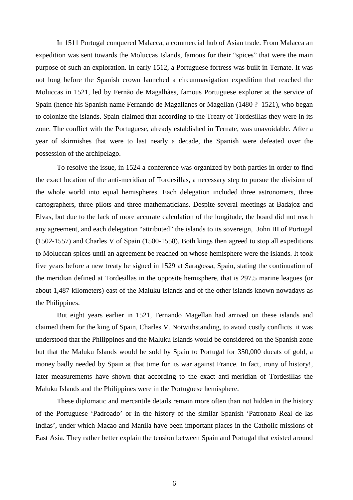In 1511 Portugal conquered [Malacca,](http://en.wikipedia.org/wiki/Malacca) a commercial hub of Asian trade. From Malacca an expedition was sent towards the Moluccas Islands, famous for their "spices" that were the main purpose of such an exploration. In early 1512, a Portuguese fortress was built in Ternate. It was not long before the Spanish crown launched a [circumnavigation](http://en.wikipedia.org/wiki/Circumnavigation) expedition that reached the Moluccas in 1521, led by Fernão de Magalhães, famous Portuguese explorer at the service of Spain (hence his Spanish name Fernando de Magallanes or Magellan (1480 ?–1521), who began to colonize the islands. Spain claimed that according to the [Treaty of Tordesillas](http://en.wikipedia.org/wiki/Treaty_of_Tordesillas) they were in its zone. The conflict with the Portuguese, already established in Ternate, was unavoidable. After a year of skirmishes that were to last nearly a decade, the Spanish were defeated over the possession of the archipelago.

To resolve the issue, in 1524 a conference was organized by both parties in order to find the exact location of the [anti-meridian](http://en.wikipedia.org/wiki/Antimeridian) of Tordesillas, a necessary step to pursue the division of the whole world into equal [hemispheres.](http://en.wikipedia.org/wiki/Sphere) Each delegation included three [astronomers,](http://en.wikipedia.org/wiki/Astronomy) three [cartographers,](http://en.wikipedia.org/wiki/Cartography) three [pilots](http://en.wikipedia.org/wiki/Navigation) and three mathematicians. Despite several meetings at [Badajoz](http://en.wikipedia.org/wiki/Badajoz) and [Elvas,](http://en.wikipedia.org/wiki/Elvas_Municipality) but due to the lack of more accurate calculation of the [longitude,](http://en.wikipedia.org/wiki/Longitude) the board did not reach any agreement, and each delegation "attributed" the islands to its sovereign, John III of Portugal (1502-1557) and Charles V of Spain (1500-1558). Both kings then agreed to stop all expeditions to Moluccan spices until an agreement be reached on whose hemisphere were the islands. It took five years before a new treaty be signed in 1529 at Saragossa, Spain, stating the continuation of the meridian defined at Tordesillas in the opposite hemisphere, that is 297.5 marine leagues (or about 1,487 [kilometers\)](http://en.wikipedia.org/wiki/Kilometer) east of the Maluku Islands and of the other islands known nowadays as the Philippines.

But eight years earlier in 1521, Fernando Magellan had arrived on these islands and claimed them for the king of Spain, Charles V. Notwithstanding, to avoid costly conflicts it was understood that the [Philippines](http://en.wikipedia.org/wiki/Philippines) and the [Maluku Islands](http://en.wikipedia.org/wiki/Maluku_Islands) would be considered on the Spanish zone but that the [Maluku Islands](http://en.wikipedia.org/wiki/Maluku_Islands) would be sold by Spain to Portugal for 350,000 [ducats](http://en.wikipedia.org/wiki/Ducat) of gold, a money badly needed by Spain at that time for its war against France. In fact, irony of history!, later measurements have shown that according to the exact anti-meridian of Tordesillas the Maluku Islands and the [Philippines](http://en.wikipedia.org/wiki/Philippines) were in the Portuguese hemisphere.

These diplomatic and mercantile details remain more often than not hidden in the history of the Portuguese 'Padroado' or in the history of the similar Spanish 'Patronato Real de las Indias', under which Macao and Manila have been important places in the Catholic missions of East Asia. They rather better explain the tension between Spain and Portugal that existed around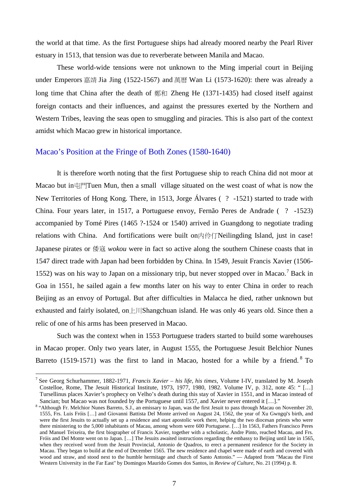the world at that time. As the first Portuguese ships had already moored nearby the Pearl River estuary in 1513, that tension was due to reverberate between Manila and Macao.

These world-wide tensions were not unknown to the Ming imperial court in Beijing under Emperors 嘉靖 Jia Jing (1522-1567) and 萬曆 Wan Li (1573-1620): there was already a long time that China after the death of 鄭和 Zheng He (1371-1435) had closed itself against foreign contacts and their influences, and against the pressures exerted by the Northern and Western Tribes, leaving the seas open to smuggling and piracies. This is also part of the context amidst which Macao grew in historical importance.

#### Macao's Position at the Fringe of Both Zones (1580-1640)

It is therefore worth noting that the first Portuguese ship to reach China did not moor at Macao but in屯門Tuen Mun, then a small village situated on the west coast of what is now the New Territories of Hong Kong. There, in 1513, Jorge Álvares ( ? -1521) started to trade with China. Four years later, in 1517, a Portuguese envoy, Fernão Peres de Andrade ( ? -1523) accompanied by Tomé Pires (1465 ?-1524 or 1540) arrived in Guangdong to negotiate trading relations with China. And fortifications were built on内伶仃Neilingding Island, just in case! Japanese pirates or 倭寇 *wokou* were in fact so active along the southern Chinese coasts that in 1547 direct trade with Japan had been forbidden by China. In 1549, Jesuit Francis Xavier (1506- 1552) was on his way to Japan on a missionary trip, but never stopped over in Macao. [7](#page-6-0) Back in Goa in 1551, he sailed again a few months later on his way to enter China in order to reach Beijing as an envoy of Portugal. But after difficulties in Malacca he died, rather unknown but exhausted and fairly isolated, on  $\pm$  | | | Shangchuan island. He was only 46 years old. Since then a relic of one of his arms has been preserved in Macao.

Such was the context when in 1553 Portuguese traders started to build some warehouses in Macao proper. Only two years later, in August 1555, the Portuguese Jesuit Belchior Nunes Barreto (1519-1571) was the first to land in Macao, hosted for a while by a friend.  $8$  To

<span id="page-6-0"></span> <sup>7</sup> See Georg Schurhammer, 1882-1971, *Francis Xavier – his life, his times*, Volume I-IV, translated by M. Joseph Costelloe, Rome, The Jesuit Historical Institute, 1973, 1977, 1980, 1982. Volume IV, p. 312, note 45: " […] Tursellinus places Xavier's prophecy on Velho's death during this stay of Xavier in 1551, and in Macao instead of

<span id="page-6-1"></span>Sancian; but Macao was not founded by the Portuguese until 1557, and Xavier never entered it [...]."<br><sup>8</sup> "Although Fr. Melchior Nunes Barreto, S.J., an emissary to Japan, was the first Jesuit to pass through Macau on Novem 1555, Frs. Luis Fróis […] and Giovanni Battista Del Monte arrived on August 24, 1562, the year of Xu Gwngqi's birth, and were the first Jesuits to actually set up a residence and start apostolic work there, helping the two diocesan priests who were there ministering to the 5,000 inhabitants of Macau, among whom were 600 Portuguese. […] In 1563, Fathers Francisco Peres and Manuel Teixeira, the first biographer of Francis Xavier, together with a scholastic, Andre Pinto, reached Macau, and Frs. Fróis and Del Monte went on to Japan. […] The Jesuits awaited instructions regarding the embassy to Beijing until late in 1565, when they received word from the Jesuit Provincial, Antonio de Quadros, to erect a permanent residence for the Society in Macau. They began to build at the end of December 1565. The new residence and chapel were made of earth and covered with wood and straw, and stood next to the humble hermitage and church of Santo Antonio." — Adapted from "Macau the First Western University in the Far East" by Domingos Maurido Gomes dos Santos, in *Review of Culture*, No. 21 (1994) p. 8.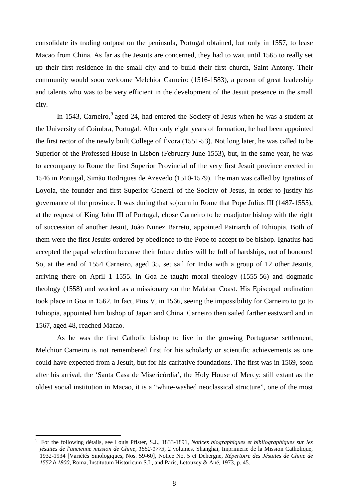consolidate its trading outpost on the peninsula, Portugal obtained, but only in 1557, to lease Macao from China. As far as the Jesuits are concerned, they had to wait until 1565 to really set up their first residence in the small city and to build their first church, Saint Antony. Their community would soon welcome Melchior Carneiro (1516-1583), a person of great leadership and talents who was to be very efficient in the development of the Jesuit presence in the small city.

In 1543, Carneiro,<sup>[9](#page-7-0)</sup> aged 24, had entered the Society of Jesus when he was a student at the [University of Coimbra,](http://www.manresa-sj.org/stamps/2_Portugal.htm#coimbra) Portugal. After only eight years of formation, he had been appointed the first rector of the newly built [College of Évora](http://en.wikipedia.org/w/index.php?title=College_of_Evora&action=edit&redlink=1) (1551-53). Not long later, he was called to be Superior of the Professed House in Lisbon (February-June 1553), but, in the same year, he was to accompany to Rome the first Superior Provincial of the very first Jesuit province erected in 1546 in Portugal, Simão Rodrigues de Azevedo (1510-1579). The man was called by Ignatius of Loyola, the founder and first Superior General of the Society of Jesus, in order to justify his governance of the province. It was during that sojourn in Rome that Pope Julius III (1487-1555), at the request of King John III of Portugal, chose Carneiro to be coadjutor bishop with the right of succession of another Jesuit, [João Nunez Barreto,](http://en.wikipedia.org/w/index.php?title=Joao_Nunez_Barreto&action=edit&redlink=1) appointed [Patriarch of Ethiopia.](http://en.wikipedia.org/w/index.php?title=Patriarch_of_Ethiopia&action=edit&redlink=1) Both of them were the first Jesuits ordered by obedience to the Pope to accept to be bishop. Ignatius had accepted the papal selection because their future duties will be full of hardships, not of honours! So, at the end of 1554 Carneiro, aged 35, set sail for India with a group of 12 other Jesuits, arriving there on April 1 1555. In Goa he taught moral theology (1555-56) and dogmatic theology (1558) and worked as a missionary on the Malabar Coast. His Episcopal ordination took place in Goa in 1562. In fact, Pius V, in 1566, seeing the impossibility for Carneiro to go to Ethiopia, appointed him bishop of Japan and China. Carneiro then sailed farther eastward and in 1567, aged 48, reached Macao.

As he was the first Catholic bishop to live in the growing Portuguese settlement, Melchior Carneiro is not remembered first for his scholarly or scientific achievements as one could have expected from a Jesuit, but for his caritative foundations. The first was in 1569, soon after his arrival, the 'Santa Casa de Misericórdia', the Holy House of Mercy: still extant as the oldest social institution in Macao, it is a "white-washed neoclassical structure", one of the most

<span id="page-7-0"></span><sup>–&</sup>lt;br>9 For the following détails, see Louis Pfister, S.J., 1833-1891, *Notices biographiques et bibliographiques sur les jésuites de l'ancienne mission de Chine, 1552-1773,* 2 volumes, Shanghai, Imprimerie de la Mission Catholique, 1932-1934 [\[Variétés Sinologiques, Nos. 59-60\]](http://mri.vlibonline.com/cgi-bin/webopac.pl?f_id=rel_srch&a_type=E&trt=BK002537007&weba=29RBW), Notice No. 5 et Dehergne, *Répertoire des Jésuites de Chine de 1552 à 1800,* Roma, Institutum Historicum S.I., and Paris, Letouzey & Ané, 1973, p. 45.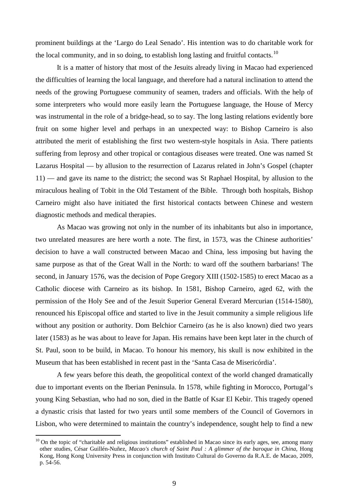prominent buildings at the 'Largo do Leal Senado'. His intention was to do charitable work for the local community, and in so doing, to establish long lasting and fruitful contacts.<sup>[10](#page-8-0)</sup>

It is a matter of history that most of the Jesuits already living in Macao had experienced the difficulties of learning the local language, and therefore had a natural inclination to attend the needs of the growing Portuguese community of seamen, traders and officials. With the help of some interpreters who would more easily learn the Portuguese language, the House of Mercy was instrumental in the role of a bridge-head, so to say. The long lasting relations evidently bore fruit on some higher level and perhaps in an unexpected way: to Bishop Carneiro is also attributed the merit of establishing the first two western-style hospitals in Asia. There patients suffering from leprosy and other tropical or contagious diseases were treated. One was named St Lazarus Hospital — by allusion to the resurrection of Lazarus related in John's Gospel (chapter 11) — and gave its name to the district; the second was St Raphael Hospital, by allusion to the miraculous healing of Tobit in the Old Testament of the Bible. Through both hospitals, Bishop Carneiro might also have initiated the first historical contacts between Chinese and western diagnostic methods and medical therapies.

As Macao was growing not only in the number of its inhabitants but also in importance, two unrelated measures are here worth a note. The first, in 1573, was the Chinese authorities' decision to have a wall constructed between Macao and China, less imposing but having the same purpose as that of the Great Wall in the North: to ward off the southern barbarians! The second, in January 1576, was the decision of Pope Gregory XIII (1502-1585) to erect Macao as a Catholic diocese with Carneiro as its bishop. In 1581, Bishop Carneiro, aged 62, with the permission of the Holy See and of the Jesuit Superior General Everard Mercurian (1514-1580), renounced his Episcopal office and started to live in the Jesuit community a simple religious life without any position or authority. Dom Belchior Carneiro (as he is also known) died two years later (1583) as he was about to leave for Japan. His remains have been kept later in the church of [St. Paul, soon to be build,](http://www.manresa-sj.org/stamps/2_Macao_2.htm) in Macao. To honour his memory, his skull is now exhibited in the Museum that has been established in recent past in the 'Santa Casa de Misericórdia'.

A few years before this death, the geopolitical context of the world changed dramatically due to important events on the Iberian Peninsula. In 1578, while fighting in Morocco, Portugal's young King [Sebastian,](http://en.wikipedia.org/wiki/Sebastian_of_Portugal) who had no son, died in the [Battle of Ksar El Kebir.](http://en.wikipedia.org/wiki/Battle_of_Ksar_El_Kebir) This tragedy opened a [dynastic crisis](http://en.wikipedia.org/wiki/Struggle_for_the_throne_of_Portugal) that lasted for two years until some members of the Council of Governors in Lisbon, who were determined to maintain the country's independence, sought help to find a new

<span id="page-8-0"></span> $10$  On the topic of "charitable and religious institutions" established in Macao since its early ages, see, among many other studies, César Guillén-Nuñez, *Macao's church of Saint Paul : A glimmer of the baroque in China,* Hong Kong, Hong Kong University Press in conjunction with Instituto Cultural do Governo da R.A.E. de Macao, 2009, p. 54-56.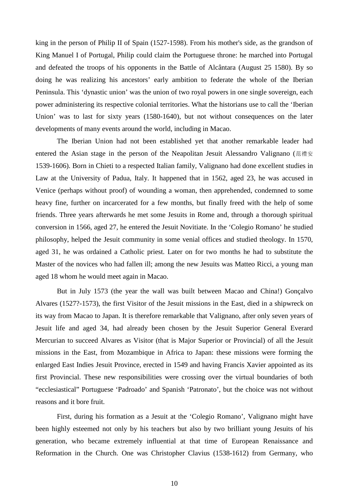king in the person of [Philip II of Spain](http://en.wikipedia.org/wiki/Philip_II_of_Spain) (1527-1598). From his mother's side, as the grandson of King [Manuel I](http://en.wikipedia.org/wiki/Manuel_I_of_Portugal) of Portugal, Philip could claim the Portuguese throne: he marched into Portugal and defeated the troops of his opponents in the [Battle of Alcântara](http://en.wikipedia.org/wiki/Battle_of_Alc%C3%A2ntara_(1580)) (August 25 1580). By so doing he was realizing his ancestors' early ambition to federate the whole of the Iberian Peninsula. This 'dynastic union' was the union of two royal powers in one single sovereign, each power administering its respective colonial territories. What the historians use to call the 'Iberian Union' was to last for sixty years (1580-1640), but not without consequences on the later developments of many events around the world, including in Macao.

The Iberian Union had not been established yet that another remarkable leader had entered the Asian stage in the person of the Neapolitan Jesuit Alessandro Valignano (范禮安 1539-1606). Born in [Chieti](http://en.wikipedia.org/wiki/Chieti) to a respected Italian family, Valignano had done excellent studies in Law at the University of Padua, Italy. It happened that in 1562, aged 23, he was accused in Venice (perhaps without proof) of wounding a woman, then apprehended, condemned to some heavy fine, further on incarcerated for a few months, but finally freed with the help of some friends. Three years afterwards he met some Jesuits in Rome and, through a thorough spiritual conversion in 1566, aged 27, he entered the Jesuit Novitiate. In the 'Colegio Romano' he studied philosophy, helped the Jesuit community in some venial offices and studied theology. In 1570, aged 31, he was ordained a Catholic priest. Later on for two months he had to substitute the Master of the novices who had fallen ill; among the new Jesuits was Matteo Ricci, a young man aged 18 whom he would meet again in Macao.

But in July 1573 (the year the wall was built between Macao and China!) Gonçalvo Alvares (1527?-1573), the first Visitor of the Jesuit missions in the East, died in a shipwreck on its way from Macao to Japan. It is therefore remarkable that Valignano, after only seven years of Jesuit life and aged 34, had already been chosen by the Jesuit Superior General Everard Mercurian to succeed Alvares as Visitor (that is Major Superior or Provincial) of all the Jesuit missions in the East, from Mozambique in Africa to Japan: these missions were forming the enlarged East Indies Jesuit Province, erected in 1549 and having Francis Xavier appointed as its first Provincial. These new responsibilities were crossing over the virtual boundaries of both "ecclesiastical" Portuguese 'Padroado' and Spanish 'Patronato', but the choice was not without reasons and it bore fruit.

First, during his formation as a Jesuit at the 'Colegio Romano', Valignano might have been highly esteemed not only by his teachers but also by two brilliant young Jesuits of his generation, who became extremely influential at that time of European Renaissance and Reformation in the Church. One was Christopher Clavius (1538-1612) from Germany, who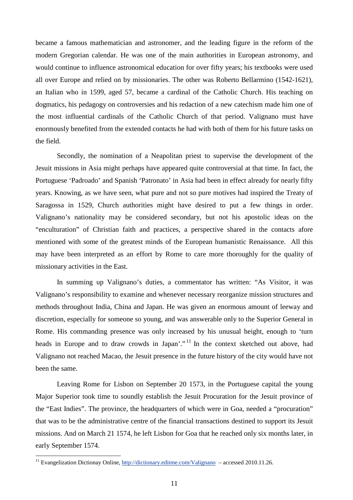became a famous mathematician and astronomer, and the leading figure in the reform of the modern Gregorian calendar. He was one of the main authorities in European astronomy, and would continue to influence astronomical education for over fifty years; his textbooks were used all over Europe and relied on by missionaries. The other was Roberto Bellarmino (1542-1621), an Italian who in 1599, aged 57, became a cardinal of the Catholic Church. His teaching on dogmatics, his pedagogy on controversies and his redaction of a new catechism made him one of the most influential cardinals of the Catholic Church of that period. Valignano must have enormously benefited from the extended contacts he had with both of them for his future tasks on the field.

Secondly, the nomination of a Neapolitan priest to supervise the development of the Jesuit missions in Asia might perhaps have appeared quite controversial at that time. In fact, the Portuguese 'Padroado' and Spanish 'Patronato' in Asia had been in effect already for nearly fifty years. Knowing, as we have seen, what pure and not so pure motives had inspired the Treaty of Saragossa in 1529, Church authorities might have desired to put a few things in order. Valignano's nationality may be considered secondary, but not his apostolic ideas on the "enculturation" of Christian faith and practices, a perspective shared in the contacts afore mentioned with some of the greatest minds of the European humanistic Renaissance. All this may have been interpreted as an effort by Rome to care more thoroughly for the quality of missionary activities in the East.

In summing up Valignano's duties, a commentator has written: "As Visitor, it was Valignano's responsibility to examine and whenever necessary reorganize mission structures and methods throughout India, China and Japan. He was given an enormous amount of leeway and discretion, especially for someone so young, and was answerable only to the Superior General in Rome. His commanding presence was only increased by his unusual height, enough to 'turn heads in Europe and to draw crowds in Japan'."<sup>[11](#page-10-0)</sup> In the context sketched out above, had Valignano not reached Macao, the Jesuit presence in the future history of the city would have not been the same.

Leaving Rome for Lisbon on September 20 1573, in the Portuguese capital the young Major Superior took time to soundly establish the Jesuit Procuration for the Jesuit province of the "East Indies". The province, the headquarters of which were in Goa, needed a "procuration" that was to be the administrative centre of the financial transactions destined to support its Jesuit missions. And on March 21 1574, he left Lisbon for Goa that he reached only six months later, in early September 1574.

<span id="page-10-0"></span><sup>&</sup>lt;sup>11</sup> Evangelization Dictionay Online,  $\frac{http://dictionary.editme.com/Valignano -accessed 2010.11.26.}{}$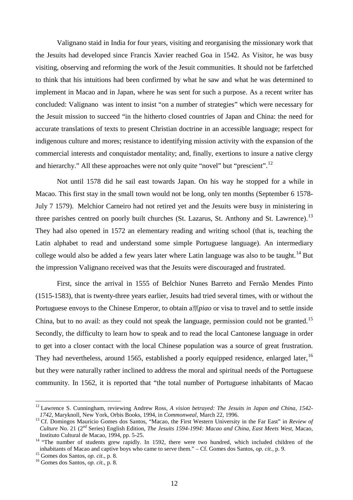Valignano staid in India for four years, visiting and reorganising the missionary work that the Jesuits had developed since Francis Xavier reached Goa in 1542. As Visitor, he was busy visiting, observing and reforming the work of the Jesuit communities. It should not be farfetched to think that his intuitions had been confirmed by what he saw and what he was determined to implement in Macao and in Japan, where he was sent for such a purpose. As a recent writer has concluded: Valignano was intent to insist "on a number of strategies" which were necessary for the Jesuit mission to succeed "in the hitherto closed countries of Japan and China: the need for accurate translations of texts to present Christian doctrine in an accessible language; respect for indigenous culture and mores; resistance to identifying mission activity with the expansion of the commercial interests and conquistador mentality; and, finally, exertions to insure a native clergy and hierarchy." All these approaches were not only quite "novel" but "prescient".<sup>[12](#page-11-0)</sup>

Not until 1578 did he sail east towards Japan. On his way he stopped for a while in Macao. This first stay in the small town would not be long, only ten months (September 6 1578- July 7 1579). Melchior Carneiro had not retired yet and the Jesuits were busy in ministering in three parishes centred on poorly built churches (St. Lazarus, St. Anthony and St. Lawrence).<sup>[13](#page-11-1)</sup> They had also opened in 1572 an elementary reading and writing school (that is, teaching the Latin alphabet to read and understand some simple Portuguese language). An intermediary college would also be added a few years later where Latin language was also to be taught.<sup>[14](#page-11-2)</sup> But the impression Valignano received was that the Jesuits were discouraged and frustrated.

First, since the arrival in 1555 of Belchior Nunes Barreto and Fernão Mendes Pinto (1515-1583), that is twenty-three years earlier, Jesuits had tried several times, with or without the Portuguese envoys to the Chinese Emperor, to obtain a票*piao* or visa to travel and to settle inside China, but to no avail: as they could not speak the language, permission could not be granted.<sup>[15](#page-11-3)</sup> Secondly, the difficulty to learn how to speak and to read the local Cantonese language in order to get into a closer contact with the local Chinese population was a source of great frustration. They had nevertheless, around 1565, established a poorly equipped residence, enlarged later,<sup>[16](#page-11-4)</sup> but they were naturally rather inclined to address the moral and spiritual needs of the Portuguese community. In 1562, it is reported that "the total number of Portuguese inhabitants of Macao

<span id="page-11-0"></span><sup>&</sup>lt;sup>12</sup> [Lawrence S. Cunningham,](http://findarticles.com/p/search/?qa=Lawrence%20S.%20Cunningham) reviewing Andrew Ross, *A vision betrayed: The Jesuits in Japan and China, 1542-*<br>1742, Maryknoll, New York, Orbis Books, 1994, in *Commonweal*, March 22, 1996.

<span id="page-11-1"></span><sup>&</sup>lt;sup>13</sup> Cf. Domingos Mauricio Gomes dos Santos, "Macao, the First Western University in the Far East" in *Review of Culture* No. 21 (2<sup>nd</sup> Series) English Edition, *The Jesuits 1594-1994: Macao and China, East Meets West, Macao,* Instituto Cultural de Macao, 1994, pp. 5-25.

<span id="page-11-2"></span>Instituto Cultural de Macao, 1994, pp. 5-25.<br><sup>14</sup> "The number of students grew rapidly. In 1592, there were two hundred, which included children of the inhabitants of Macao and captive boys who came to serve them." – Cf. Gomes dos Santos, *op. cit.,* p. 9. 15 Gomes dos Santos, *op. cit.,* p. 8. <sup>16</sup> Gomes dos Santos, *op. cit.,* p. 8.

<span id="page-11-3"></span>

<span id="page-11-4"></span>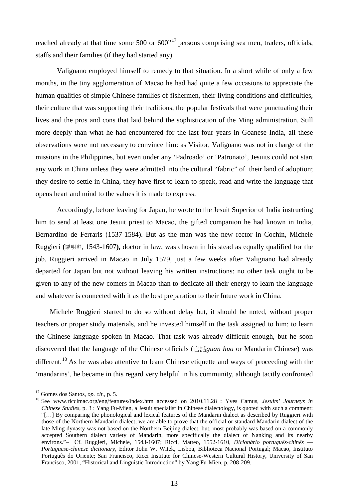reached already at that time some 500 or  $600^{17}$  $600^{17}$  $600^{17}$  persons comprising sea men, traders, officials, staffs and their families (if they had started any).

Valignano employed himself to remedy to that situation. In a short while of only a few months, in the tiny agglomeration of Macao he had had quite a few occasions to appreciate the human qualities of simple Chinese families of fishermen, their living conditions and difficulties, their culture that was supporting their traditions, the popular festivals that were punctuating their lives and the pros and cons that laid behind the sophistication of the Ming administration. Still more deeply than what he had encountered for the last four years in Goanese India, all these observations were not necessary to convince him: as Visitor, Valignano was not in charge of the missions in the Philippines, but even under any 'Padroado' or 'Patronato', Jesuits could not start any work in China unless they were admitted into the cultural "fabric" of their land of adoption; they desire to settle in China, they have first to learn to speak, read and write the language that opens heart and mind to the values it is made to express.

Accordingly, before leaving for Japan, he wrote to the Jesuit Superior of India instructing him to send at least one Jesuit priest to Macao, the gifted companion he had known in India, [Bernardino de Ferraris](http://en.wikipedia.org/w/index.php?title=Bernardino_de_Ferraris&action=edit&redlink=1) (1537-1584). But as the man was the new rector in Cochin, [Michele](http://en.wikipedia.org/wiki/Michele_Ruggieri)  [Ruggieri](http://en.wikipedia.org/wiki/Michele_Ruggieri) **(**羅明堅, 1543-1607**),** doctor in law, was chosen in his stead as equally qualified for the job. Ruggieri arrived in Macao in July 1579, just a few weeks after Valignano had already departed for Japan but not without leaving his written instructions: no other task ought to be given to any of the new comers in Macao than to dedicate all their energy to learn the language and whatever is connected with it as the best preparation to their future work in China.

Michele Ruggieri started to do so without delay but, it should be noted, without proper teachers or proper study materials, and he invested himself in the task assigned to him: to learn the Chinese language spoken in Macao. That task was already difficult enough, but he soon discovered that the language of the Chinese officials (官話*guan hua* or Mandarin Chinese) was different.<sup>[18](#page-12-1)</sup> As he was also attentive to learn Chinese etiquette and ways of proceeding with the 'mandarins', he became in this regard very helpful in his community, although tacitly confronted

<span id="page-12-0"></span> <sup>17</sup> Gomes dos Santos, *op. cit.,* p. 5.

<span id="page-12-1"></span><sup>18</sup> See [www.riccimac.org/eng/features/index.htm](http://www.riccimac.org/eng/features/index.htm) accessed on 2010.11.28 : Yves Camus, *Jesuits' Journeys in Chinese Studies,* p. 3 : Yang Fu-Mien, a Jesuit specialist in Chinese dialectology, is quoted with such a comment: "[…] By comparing the phonological and lexical features of the Mandarin dialect as described by Ruggieri with those of the Northern Mandarin dialect, we are able to prove that the official or standard Mandarin dialect of the late Ming dynasty was not based on the Northern Beijing dialect, but, most probably was based on a commonly accepted Southern dialect variety of Mandarin, more specifically the dialect of Nanking and its nearby environs."– Cf. Ruggieri, Michele, 1543-1607; Ricci, Matteo, 1552-1610, *Dicionário português-chinês* — *Portuguese-chinese dictionary,* Editor John W. Witek, Lisboa, Biblioteca Nacional Portugal; Macao, Instituto Português do Oriente; San Francisco, Ricci Institute for Chinese-Western Cultural History, University of San Francisco, 2001, "Historical and Linguistic Introduction" by Yang Fu-Mien, p. 208-209.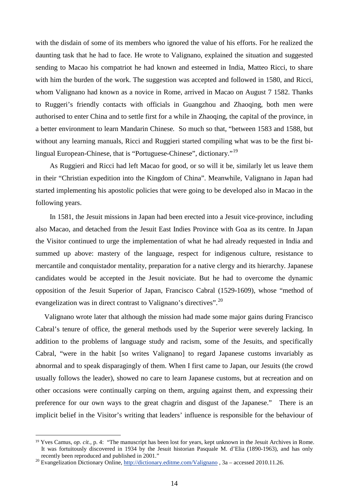with the disdain of some of its members who ignored the value of his efforts. For he realized the daunting task that he had to face. He wrote to Valignano, explained the situation and suggested sending to Macao his compatriot he had known and esteemed in India, [Matteo Ricci,](http://wapedia.mobi/en/Matteo_Ricci) to share with him the burden of the work. The suggestion was accepted and followed in 1580, and Ricci, whom Valignano had known as a novice in Rome, arrived in Macao on August 7 1582. Thanks to Ruggeri's friendly contacts with officials in Guangzhou and Zhaoqing, both men were authorised to enter China and to settle first for a while in Zhaoqing, the capital of the province, in a better environment to learn Mandarin Chinese*.* So much so that, "between 1583 and 1588, but without any learning manuals, Ricci and Ruggieri started compiling what was to be the first bilingual European-Chinese, that is "Portuguese-Chinese", dictionary."[19](#page-13-0)

As Ruggieri and Ricci had left Macao for good, or so will it be, similarly let us leave them in their "Christian expedition into the Kingdom of China". Meanwhile, Valignano in Japan had started implementing his apostolic policies that were going to be developed also in Macao in the following years.

In 1581, the Jesuit missions in Japan had been erected into a Jesuit vice-province, including also Macao, and detached from the Jesuit East Indies Province with Goa as its centre. In Japan the Visitor continued to urge the implementation of what he had already requested in India and summed up above: mastery of the language, respect for indigenous culture, resistance to mercantile and conquistador mentality, preparation for a native clergy and its hierarchy*.* Japanese candidates would be accepted in the Jesuit noviciate. But he had to overcome the dynamic opposition of the Jesuit Superior of Japan, Francisco Cabral (1529-1609), whose "method of evangelization was in direct contrast to Valignano's directives".<sup>[20](#page-13-1)</sup>

Valignano wrote later that although the mission had made some major gains during Francisco Cabral's tenure of office, the general methods used by the Superior were severely lacking. In addition to the problems of language study and racism, some of the Jesuits, and specifically Cabral, "were in the habit [so writes Valignano] to regard Japanese customs invariably as abnormal and to speak disparagingly of them. When I first came to Japan, our Jesuits (the crowd usually follows the leader), showed no care to learn Japanese customs, but at recreation and on other occasions were continually carping on them, arguing against them, and expressing their preference for our own ways to the great chagrin and disgust of the Japanese." There is an implicit belief in the Visitor's writing that leaders' influence is responsible for the behaviour of

-

<span id="page-13-0"></span><sup>&</sup>lt;sup>19</sup> Yves Camus, *op. cit.*, p. 4: "The manuscript has been lost for years, kept unknown in the Jesuit Archives in Rome. It was fortuitously discovered in 1934 by the Jesuit historian Pasquale M. d'Elia (1890-1963), and has only recently been reproduced and published in 2001."

<span id="page-13-1"></span>recently been reproduced and published in 2001.<br><sup>20</sup> Evangelization Dictionary Online,<http://dictionary.editme.com/Valignano> , 3a – accessed 2010.11.26.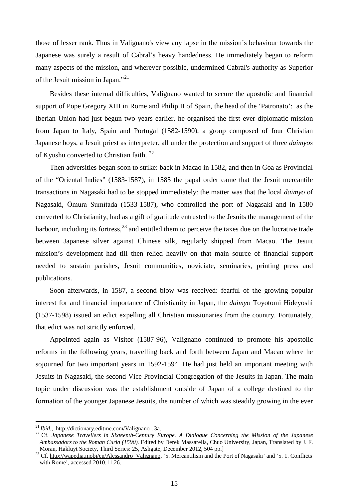those of lesser rank. Thus in Valignano's view any lapse in the mission's behaviour towards the Japanese was surely a result of Cabral's heavy handedness. He immediately began to reform many aspects of the mission, and wherever possible, undermined Cabral's authority as Superior of the Jesuit mission in Japan."[21](#page-14-0)

Besides these internal difficulties, Valignano wanted to secure the apostolic and financial support of Pope Gregory XIII in Rome and Philip II of Spain, the head of the 'Patronato': as the Iberian Union had just begun two years earlier, he organised the first ever diplomatic mission from Japan to Italy, Spain and Portugal (1582-1590), a group composed of four Christian Japanese boys, a Jesuit priest as interpreter, all under the protection and support of three *daimyos*  of Kyushu converted to Christian faith.<sup>[22](#page-14-1)</sup>

Then adversities began soon to strike: back in Macao in 1582, and then in Goa as Provincial of the "Oriental Indies" (1583-1587), in 1585 the papal order came that the Jesuit mercantile transactions in Nagasaki had to be stopped immediately: the matter was that the local *daimyo* of Nagasaki, [Ōmura Sumitada](http://wapedia.mobi/en/%C5%8Cmura_Sumitada) (1533-1587), who controlled the port of [Nagasaki](http://wapedia.mobi/en/Nagasaki,_Nagasaki) and in 1580 converted to Christianity, had as a gift of gratitude entrusted to the Jesuits the management of the harbour, including its fortress,  $^{23}$  $^{23}$  $^{23}$  and entitled them to perceive the taxes due on the lucrative trade between Japanese silver against Chinese silk, regularly shipped from Macao. The Jesuit mission's development had till then relied heavily on that main source of financial support needed to sustain parishes, Jesuit communities, noviciate, seminaries, printing press and publications.

Soon afterwards, in 1587, a second blow was received: fearful of the growing popular interest for and financial importance of Christianity in Japan, the *daimyo* Toyotomi Hideyoshi (1537-1598) issued an edict expelling all Christian missionaries from the country. Fortunately, that edict was not strictly enforced.

Appointed again as Visitor (1587-96), Valignano continued to promote his apostolic reforms in the following years, travelling back and forth between Japan and Macao where he sojourned for two important years in 1592-1594. He had just held an important meeting with Jesuits in Nagasaki, the second Vice-Provincial Congregation of the Jesuits in Japan. The main topic under discussion was the establishment outside of Japan of a college destined to the formation of the younger Japanese Jesuits, the number of which was steadily growing in the ever

<span id="page-14-1"></span><span id="page-14-0"></span><sup>&</sup>lt;sup>21</sup> *Ibid.*, <http://dictionary.editme.com/Valignano>, 3a. 22 Cf. *Japanese* Concerning the Mission of the Japanese *Travellers in Sixteenth-Century Europe. A Dialogue Concerning the Mission of the Japanese Ambassadors to the Roman Curia (1590).* Edited by Derek Massarella, Chuo University, Japan, Translated by J. F.

<span id="page-14-2"></span>Moran, Hakluyt Society, Third Series: 25, Ashgate, December 2012, 504 pp.]  $\frac{1}{23}$  Cf. [http://wapedia.mobi/en/Alessandro\\_Valignano,](http://wapedia.mobi/en/Alessandro_Valignano) '5. Mercantilism and the Port of Nagasaki' and '5. 1. Conflicts with Rome', accessed 2010.11.26.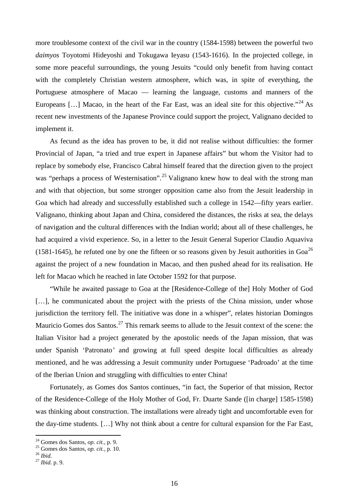more troublesome context of the civil war in the country (1584-1598) between the powerful two *daimyos* Toyotomi Hideyoshi and Tokugawa Ieyasu (1543-1616). In the projected college, in some more peaceful surroundings, the young Jesuits "could only benefit from having contact with the completely Christian western atmosphere, which was, in spite of everything, the Portuguese atmosphere of Macao — learning the language, customs and manners of the Europeans [...] Macao, in the heart of the Far East, was an ideal site for this objective."<sup>[24](#page-15-0)</sup> As recent new investments of the Japanese Province could support the project, Valignano decided to implement it.

As fecund as the idea has proven to be, it did not realise without difficulties: the former Provincial of Japan, "a tried and true expert in Japanese affairs" but whom the Visitor had to replace by somebody else, Francisco Cabral himself feared that the direction given to the project was "perhaps a process of Westernisation".<sup>[25](#page-15-1)</sup> Valignano knew how to deal with the strong man and with that objection, but some stronger opposition came also from the Jesuit leadership in Goa which had already and successfully established such a college in 1542—fifty years earlier. Valignano, thinking about Japan and China, considered the distances, the risks at sea, the delays of navigation and the cultural differences with the Indian world; about all of these challenges, he had acquired a vivid experience. So, in a letter to the Jesuit General Superior Claudio Aquaviva (1581-1645), he refuted one by one the fifteen or so reasons given by Jesuit authorities in  $Goa^{26}$  $Goa^{26}$  $Goa^{26}$ against the project of a new foundation in Macao, and then pushed ahead for its realisation. He left for Macao which he reached in late October 1592 for that purpose.

"While he awaited passage to Goa at the [Residence-College of the] Holy Mother of God [...], he communicated about the project with the priests of the China mission, under whose jurisdiction the territory fell. The initiative was done in a whisper", relates historian Domingos Mauricio Gomes dos Santos.<sup>[27](#page-15-3)</sup> This remark seems to allude to the Jesuit context of the scene: the Italian Visitor had a project generated by the apostolic needs of the Japan mission, that was under Spanish 'Patronato*'* and growing at full speed despite local difficulties as already mentioned, and he was addressing a Jesuit community under Portuguese 'Padroado' at the time of the Iberian Union and struggling with difficulties to enter China!

Fortunately, as Gomes dos Santos continues, "in fact, the Superior of that mission, Rector of the Residence-College of the Holy Mother of God, Fr. Duarte Sande ([in charge] 1585-1598) was thinking about construction. The installations were already tight and uncomfortable even for the day-time students. […] Why not think about a centre for cultural expansion for the Far East,

<span id="page-15-1"></span><span id="page-15-0"></span><sup>24</sup> Gomes dos Santos, *op. cit.,* p. 9. <sup>25</sup> Gomes dos Santos, *op. cit.,* p. 10. <sup>26</sup> *Ibid.* <sup>27</sup> *Ibid.* p. 9.

<span id="page-15-3"></span><span id="page-15-2"></span>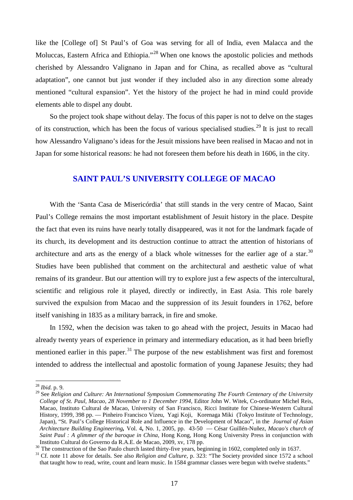like the [College of] St Paul's of Goa was serving for all of India, even Malacca and the Moluccas, Eastern Africa and Ethiopia."<sup>[28](#page-16-0)</sup> When one knows the apostolic policies and methods cherished by Alessandro Valignano in Japan and for China, as recalled above as "cultural adaptation", one cannot but just wonder if they included also in any direction some already mentioned "cultural expansion". Yet the history of the project he had in mind could provide elements able to dispel any doubt.

So the project took shape without delay. The focus of this paper is not to delve on the stages of its construction, which has been the focus of various specialised studies.<sup>[29](#page-16-1)</sup> It is just to recall how Alessandro Valignano's ideas for the Jesuit missions have been realised in Macao and not in Japan for some historical reasons: he had not foreseen them before his death in 1606, in the city.

## **SAINT PAUL'S UNIVERSITY COLLEGE OF MACAO**

With the 'Santa Casa de Misericórdia' that still stands in the very centre of Macao, Saint Paul's College remains the most important establishment of Jesuit history in the place. Despite the fact that even its ruins have nearly totally disappeared, was it not for the landmark façade of its church, its development and its destruction continue to attract the attention of historians of architecture and arts as the energy of a black whole witnesses for the earlier age of a star.<sup>[30](#page-16-2)</sup> Studies have been published that comment on the architectural and aesthetic value of what remains of its grandeur. But our attention will try to explore just a few aspects of the intercultural, scientific and religious role it played, directly or indirectly, in East Asia. This role barely survived the expulsion from Macao and the suppression of its Jesuit founders in 1762, before itself vanishing in 1835 as a military barrack, in fire and smoke.

In 1592, when the decision was taken to go ahead with the project, Jesuits in Macao had already twenty years of experience in primary and intermediary education, as it had been briefly mentioned earlier in this paper.<sup>[31](#page-16-3)</sup> The purpose of the new establishment was first and foremost intended to address the intellectual and apostolic formation of young Japanese Jesuits; they had

<span id="page-16-0"></span> <sup>28</sup> *Ibid.* p. 9.

<span id="page-16-1"></span><sup>29</sup> See *Religion and Culture: An International Symposium Commemorating The Fourth Centenary of the University College of St. Paul, Macao, 28 November to 1 December 1994*, Editor John W. Witek, Co-ordinator Michel Reis, Macao, Instituto Cultural de Macao, University of San Francisco, Ricci Institute for Chinese-Western Cultural History, 1999, 398 pp. — Pinheiro Francisco Vizeu, Yagi Koji, Korenaga Miki (Tokyo Institute of Technology, Japan), "St. Paul's College Historical Role and Influence in the Development of Macao", in the *Journal of Asian Architecture Building Engineering,* Vol. 4**,** No. 1, 2005, pp. 43-50 — César Guillén-Nuñez, *Macao's church of Saint Paul : A glimmer of the baroque in China,* Hong Kong, Hong Kong University Press in conjunction with

<span id="page-16-2"></span><sup>&</sup>lt;sup>30</sup> The construction of the Sao Paulo church lasted thirty-five years, beginning in 1602, completed only in 1637.<br><sup>31</sup> Cf. note 11 above for details. See also *Religion and Culture*, p. 323: "The Society provided since 15

<span id="page-16-3"></span>that taught how to read, write, count and learn music. In 1584 grammar classes were begun with twelve students."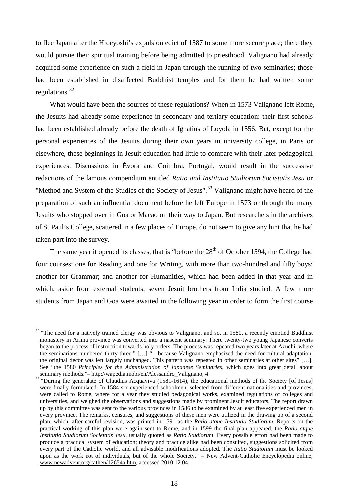to flee Japan after the Hideyoshi's expulsion edict of 1587 to some more secure place; there they would pursue their spiritual training before being admitted to priesthood. Valignano had already acquired some experience on such a field in Japan through the running of two seminaries; those had been established in disaffected Buddhist temples and for them he had written some regulations.<sup>[32](#page-17-0)</sup>

What would have been the sources of these regulations? When in 1573 Valignano left Rome, the Jesuits had already some experience in secondary and tertiary education: their first schools had been established already before the death of Ignatius of Loyola in 1556. But, except for the personal experiences of the Jesuits during their own years in university college, in Paris or elsewhere, these beginnings in Jesuit education had little to compare with their later pedagogical experiences. Discussions in Évora and Coimbra, Portugal, would result in the successive redactions of the famous compendium entitled *Ratio and Institutio Studiorum Societatis Jesu* or "Method and System of the Studies of the Society of Jesus".<sup>[33](#page-17-1)</sup> Valignano might have heard of the preparation of such an influential document before he left Europe in 1573 or through the many Jesuits who stopped over in Goa or Macao on their way to Japan. But researchers in the archives of St Paul's College, scattered in a few places of Europe, do not seem to give any hint that he had taken part into the survey.

The same year it opened its classes, that is "before the  $28<sup>th</sup>$  of October 1594, the College had four courses: one for Reading and one for Writing, with more than two-hundred and fifty boys; another for Grammar; and another for Humanities, which had been added in that year and in which, aside from external students, seven Jesuit brothers from India studied. A few more students from Japan and Goa were awaited in the following year in order to form the first course

<span id="page-17-0"></span><sup>&</sup>lt;sup>32</sup> "The need for a natively trained clergy was obvious to Valignano, and so, in 1580, a recently emptied [Buddhist](http://wapedia.mobi/en/Buddhist) [monastery](http://wapedia.mobi/en/Monastery) in [Arima](http://wapedia.mobi/en/Arima) province was converted into a nascent [seminary.](http://wapedia.mobi/en/Seminary) There twenty-two young Japanese converts began to the process of instruction towards [holy orders.](http://wapedia.mobi/en/Holy_orders) The process was repeated two years later a[t Azuchi,](http://wapedia.mobi/en/Azuchi) where the seminarians numbered thirty-three." […] "…because Valignano emphasized the need for cultural adaptation, the original décor was left largely unchanged. This pattern was repeated in other seminaries at other sites" […]. See "the 1580 *Principles for the Administration of Japanese Seminaries*, which goes into great detail about seminary methods."- http://wapedia.mobi/en/Alessandro\_Valignano, 4.

<span id="page-17-1"></span> $\frac{m}{33}$  "During the generalate of Claudius Acquaviva (1581-1614), the [educational](http://www.newadvent.org/cathen/05295b.htm) methods of the [Society](http://www.newadvent.org/cathen/14081a.htm) [of Jesus] were finally formulated. In 1584 six experienced [schoolmen,](http://www.newadvent.org/cathen/13548a.htm) selected from different nationalities and provinces, were called to [Rome,](http://www.newadvent.org/cathen/13164a.htm) where for a year they studied pedagogical works, examined regulations of colleges and [universities,](http://www.newadvent.org/cathen/15188a.htm) and weighed the observations and suggestions made by prominent [Jesuit](http://www.newadvent.org/cathen/14081a.htm) educators. The report drawn up by this committee was sent to the various provinces in 1586 to be examined by at least five experienced men in every province. The remarks, censures, and suggestions of these men were utilized in the drawing up of a second plan, which, after careful revision, was printed in 1591 as the *Ratio atque Institutio Studiorum*. Reports on the practical working of this plan were again sent to [Rome,](http://www.newadvent.org/cathen/13164a.htm) and in 1599 the final plan appeared, the *Ratio atque Institutio Studiorum Societatis Jesu*, usually quoted as *Ratio Studiorum*. Every possible effort had been made to produce a practical system of [education;](http://www.newadvent.org/cathen/05295b.htm) theory and practice alike had been consulted, suggestions solicited from every part of the [Catholic](http://www.newadvent.org/cathen/03449a.htm) world, and all advisable modifications adopted. The *Ratio Studiorum* must be looked upon as the work not of [individuals,](http://www.newadvent.org/cathen/07762a.htm) but of the whole [Society."](http://www.newadvent.org/cathen/14081a.htm) – New Advent-Catholic Encyclopedia online, [www.newadvent.org/cathen/12654a.htm,](http://www.newadvent.org/cathen/12654a.htm) accessed 2010.12.04.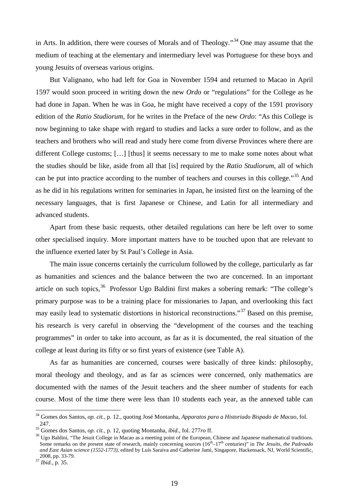in Arts. In addition, there were courses of Morals and of Theology."<sup>[34](#page-18-0)</sup> One may assume that the medium of teaching at the elementary and intermediary level was Portuguese for these boys and young Jesuits of overseas various origins.

But Valignano, who had left for Goa in November 1594 and returned to Macao in April 1597 would soon proceed in writing down the new *Ordo* or "regulations" for the College as he had done in Japan. When he was in Goa, he might have received a copy of the 1591 provisory edition of the *Ratio Studiorum,* for he writes in the Preface of the new *Ordo*: "As this College is now beginning to take shape with regard to studies and lacks a sure order to follow, and as the teachers and brothers who will read and study here come from diverse Provinces where there are different College customs; [...] [thus] it seems necessary to me to make some notes about what the studies should be like, aside from all that [is] required by the *Ratio Studiorum*, all of which can be put into practice according to the number of teachers and courses in this college."[35](#page-18-1) And as he did in his regulations written for seminaries in Japan, he insisted first on the learning of the necessary languages, that is first Japanese or Chinese, and Latin for all intermediary and advanced students.

Apart from these basic requests, other detailed regulations can here be left over to some other specialised inquiry. More important matters have to be touched upon that are relevant to the influence exerted later by St Paul's College in Asia.

The main issue concerns certainly the curriculum followed by the college, particularly as far as humanities and sciences and the balance between the two are concerned. In an important article on such topics,  $36$  Professor Ugo Baldini first makes a sobering remark: "The college's primary purpose was to be a training place for missionaries to Japan, and overlooking this fact may easily lead to systematic distortions in historical reconstructions."[37](#page-18-3) Based on this premise, his research is very careful in observing the "development of the courses and the teaching programmes" in order to take into account, as far as it is documented, the real situation of the college at least during its fifty or so first years of existence (see Table A).

As far as humanities are concerned, courses were basically of three kinds: philosophy, moral theology and theology, and as far as sciences were concerned, only mathematics are documented with the names of the Jesuit teachers and the sheer number of students for each course. Most of the time there were less than 10 students each year, as the annexed table can

<span id="page-18-0"></span> <sup>34</sup> Gomes dos Santos, *op. cit.,* p. 12., quoting José Montanha, *Apparatos para a Historiado Bispado de Macao,* fol.

<span id="page-18-2"></span><span id="page-18-1"></span>

<sup>247.&</sup>lt;br><sup>35</sup> Gomes dos Santos, *op. cit.*, p. 12, quoting Montanha, *ibid.*, fol. 277*ro* ff.<br><sup>36</sup> Ugo Baldini, "The Jesuit College in Macao as a meeting point of the European, Chinese and Japanese mathematical traditions. Some remarks on the present state of research, mainly concerning sources (16<sup>th</sup>–17<sup>th</sup> centuries)" in *The Jesuits, the Padroado and East Asian science (1552-1773),* edited by Luís Saraiva and Catherine Jami, Singapore, Hackensack, NJ, World Scientific, 2008, pp. 33-79. <sup>37</sup> *Ibid.,* p. 35.

<span id="page-18-3"></span>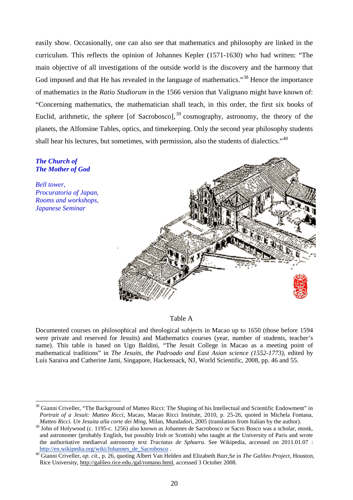easily show. Occasionally, one can also see that mathematics and philosophy are linked in the curriculum. This reflects the opinion of Johannes Kepler (1571-1630) who had written: "The main objective of all investigations of the outside world is the discovery and the harmony that God imposed and that He has revealed in the language of mathematics."<sup>[38](#page-19-0)</sup> Hence the importance of mathematics in the *Ratio Studiorum* in the 1566 version that Valignano might have known of: "Concerning mathematics, the mathematician shall teach, in this order, the first six books of Euclid, arithmetic, the sphere [of Sacrobosco],  $39$  cosmography, astronomy, the theory of the planets, the Alfonsine Tables, optics, and timekeeping. Only the second year philosophy students shall hear his lectures, but sometimes, with permission, also the students of dialectics."<sup>[40](#page-19-2)</sup>

#### *The Church of The Mother of God*

*Bell tower, Procuratoria of Japan, Rooms and workshops, Japanese Seminar*



#### Table A

Documented courses on philosophical and theological subjects in Macao up to 1650 (those before 1594 were private and reserved for Jesuits) and Mathematics courses (year, number of students, teacher's name). This table is based on Ugo Baldini, "The Jesuit College in Macao as a meeting point of mathematical traditions" in *The Jesuits, the Padroado and East Asian science (1552-1773),* edited by Luís Saraiva and Catherine Jami, Singapore, Hackensack, NJ, World Scientific, 2008, pp. 46 and 55.

<span id="page-19-0"></span><sup>&</sup>lt;sup>38</sup> Gianni Criveller, "The Background of Matteo Ricci: The Shaping of his Intellectual and Scientific Endowment" in *Portrait of a Jesuit: Matteo Ricci,* Macao, Macao Ricci Institute, 2010, p. 25-26, quoted in Michela Fontana, *Matteo Ricci. Un Jesuita alla corte dei Ming,* Milan, Mundadori, 2005 (translation from Italian by the author).

<span id="page-19-1"></span><sup>&</sup>lt;sup>39</sup> John of Holywood (c. 1195-c. 1256) also known as Johannes de Sacrobosco or Sacro Bosco was a scholar, monk, and astronomer (probably English, but possibly Irish or Scottish) who taught at the University of Paris and wrote the authoritative mediaeval astronomy text *Tractatus de Sphaera*. See Wikipedia, accessed on 2011.01.07 : [http://en.wikipedia.org/wiki/Johannes\\_de\\_Sacrobosco](http://en.wikipedia.org/wiki/Johannes_de_Sacrobosco) . <sup>40</sup> Gianni Criveller, *op. cit.,* p. 26, quoting Albert Van Helden and Elizabeth Burr,Se in *The Galileo Project,* Houston,

<span id="page-19-2"></span>Rice University, [http://galileo.rice.edu./gal/romano.html,](http://galileo.rice.edu./gal/romano.html) accessed 3 October 2008.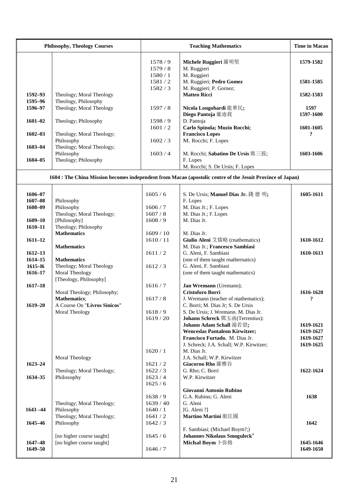| <b>Philosophy, Theology Courses</b> |                                                     |                                      | <b>Time in Macao</b>                                                                                       |                           |
|-------------------------------------|-----------------------------------------------------|--------------------------------------|------------------------------------------------------------------------------------------------------------|---------------------------|
|                                     |                                                     | 1578/9<br>1579/8<br>1580/1<br>1581/2 | Michele Ruggieri 羅明堅<br>M. Ruggieri<br>M. Ruggieri<br>M. Ruggieri; Pedro Gomez                             | 1579-1582<br>1581-1585    |
|                                     |                                                     | 1582/3                               | M. Ruggieri; P. Gornez;                                                                                    |                           |
| 1592-93<br>1595-96                  | Theology; Moral Theology<br>Theology, Philosophy    |                                      | <b>Matteo Ricci</b>                                                                                        | 1582-1583                 |
| 1596-97                             | Theology; Moral Theology                            | 1597/8                               | Nicola Longobardi 龍華民;<br>Diego Pantoja 龐迪我                                                                | 1597<br>1597-1600         |
| $1601 - 02$                         | Theology; Philosophy                                | 1598/9<br>1601/2                     | D. Pantoja<br>Carlo Spinola; Muzio Rocchi;                                                                 | 1601-1605                 |
| $1602 - 03$                         | Theology; Moral Theology;<br>Philosophy             | 1602/3                               | <b>Francisco Lopes</b><br>M. Rocchi; F. Lopes                                                              | $\boldsymbol{\mathsf{?}}$ |
| $1603 - 04$                         | Theology; Moral Theology;<br>Philosophy             | 1603/4                               | M. Rocchi; Sabatino De Ursis 熊三拔;                                                                          | 1603-1606                 |
| $1604 - 05$                         | Theology; Philosophy                                |                                      | F. Lopes<br>M. Rocchi; S. De Ursis; F. Lopes                                                               |                           |
|                                     |                                                     |                                      | 1604 : The China Mission becomes independent from Macao (apostolic centre of the Jesuit Province of Japan) |                           |
| 1606-07                             |                                                     | 1605/6                               | S. De Ursis; Manuel Dias Jr. 錢 德 明;                                                                        | 1605-1611                 |
| $1607 - 08$                         | Philosophy                                          |                                      | F. Lopes                                                                                                   |                           |
| 1608-09                             | Philosophy                                          | 1606/7                               | M. Dias Jr.; F. Lopes                                                                                      |                           |
|                                     | Theology; Moral Theology;                           | 1607/8                               | M. Dias Jr.; F. Lopes                                                                                      |                           |
| $1609 - 10$                         | [Philosophy]                                        | 1608/9                               | M. Dias Jr.                                                                                                |                           |
| $1610 - 11$                         | Theology; Philosophy<br><b>Mathematics</b>          | 1609/10                              | M. Dias Jr.                                                                                                |                           |
| $1611 - 12$                         |                                                     | 1610/11                              | Giulio Aleni 艾儒略 (rnathematics)                                                                            | 1610-1612                 |
|                                     | <b>Mathematics</b>                                  |                                      | M. Dias Jr.; Francesco Sambiasi                                                                            |                           |
| $1612 - 13$                         |                                                     | 1611/2                               | G. Aleni, F. Sambiasi                                                                                      | 1610-1613                 |
| $1614 - 15$                         | <b>Mathematics</b>                                  |                                      | (one of them taught rnathernatics)                                                                         |                           |
| $1615 - 16$                         | Theology; Moral Theology                            | 1612/3                               | G. Aleni, F. Sambiasi                                                                                      |                           |
| $1616 - 17$                         | Moral Theology<br>[Theology, Philosophy]            |                                      | (one of them taught mathematics)                                                                           |                           |
| $1617 - 18$                         |                                                     | 1616/7                               | Jan Wremann (Uremann);                                                                                     |                           |
|                                     | Moral Theology; Philosophy;                         |                                      | Cristoforo Borri                                                                                           | 1616-1620                 |
| $1619 - 20$                         | <b>Mathematics;</b><br>A Course On "Livros Sinicos" | 1617/8                               | J. Wremann (teacher of mathematics);<br>C. Borri; M. Dias Jr; S. De Ursis                                  | ?                         |
|                                     | Moral Theology                                      | 1618/9                               | S. De Ursis; J. Wremann. M. Dias Jr.                                                                       |                           |
|                                     |                                                     | 1619/20                              | Johann Schreck 鄧玉函(Terrentius):                                                                            |                           |
|                                     |                                                     |                                      | Johann Adam Schall 湯若望;                                                                                    | 1619-1621                 |
|                                     |                                                     |                                      | <b>Wenceslas Pantaleon Kirwitzer;</b>                                                                      | 1619-1627                 |
|                                     |                                                     |                                      | Francisco Furtado. M. Dias Jr.                                                                             | 1619-1627                 |
|                                     |                                                     | 1620/1                               | J. Schreck; J.A. Schall; W.P. Kirwitzer;<br>M. Dias Jr.                                                    | 1619-1625                 |
|                                     | Moral Theology                                      |                                      | J.A. Schall; W.P. Kirwitzer                                                                                |                           |
| $1623 - 24$                         |                                                     | 1621/2                               | <b>Giacorno Rho 羅雅谷</b>                                                                                    |                           |
|                                     | Theology; Moral Theology;                           | 1622/3                               | G. Rho; C. Borri                                                                                           | 1622-1624                 |
| 1634-35                             | Philosophy                                          | 1623/4<br>1625/6                     | W.P. Kirwitzer                                                                                             |                           |
|                                     |                                                     |                                      | Giovanni Antonio Rubino                                                                                    |                           |
|                                     |                                                     | 1638/9                               | G.A. Rubino; G. Aleni                                                                                      | 1638                      |
|                                     | Theology; Moral Theology;                           | 1639/40                              | G. Aleni                                                                                                   |                           |
| $1643 - 44$                         | Philosophy                                          | 1640/1                               | [G. Aleni ?]                                                                                               |                           |
| 1645-46                             | Theology; Moral Theology;<br>Philosophy             | 1641/2<br>1642/3                     | Martino Martini 衛匡國                                                                                        | 1642                      |
|                                     |                                                     |                                      | F. Sambiasi; (Michael Boym?;)                                                                              |                           |
|                                     | [no higher course taught]                           | 1645/6                               | Johannes Nikolaus Smoguleck <sup>4</sup>                                                                   |                           |
| 1647-48<br>$1649 - 50$              | [no higher course taught]                           | 1646/7                               | Michal Boym 卜弥格                                                                                            | 1645-1646<br>1649-1650    |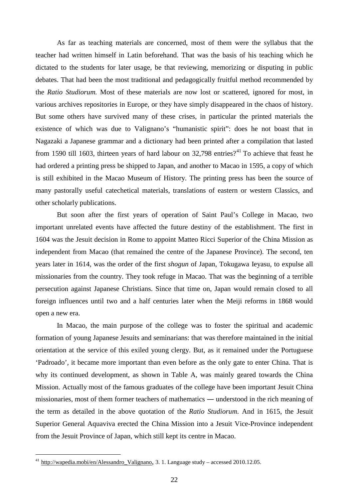As far as teaching materials are concerned, most of them were the syllabus that the teacher had written himself in Latin beforehand. That was the basis of his teaching which he dictated to the students for later usage, be that reviewing, memorizing or disputing in public debates. That had been the most traditional and pedagogically fruitful method recommended by the *Ratio Studiorum.* Most of these materials are now lost or scattered, ignored for most, in various archives repositories in Europe, or they have simply disappeared in the chaos of history. But some others have survived many of these crises, in particular the printed materials the existence of which was due to Valignano's "humanistic spirit": does he not boast that in Nagazaki a Japanese grammar and a dictionary had been printed after a compilation that lasted from 1590 till 1603, thirteen years of hard labour on  $32,798$  entries?<sup>[41](#page-21-0)</sup> To achieve that feast he had ordered a printing press be shipped to Japan, and another to Macao in 1595, a copy of which is still exhibited in the Macao Museum of History. The printing press has been the source of many pastorally useful catechetical materials, translations of eastern or western Classics, and other scholarly publications.

But soon after the first years of operation of Saint Paul's College in Macao, two important unrelated events have affected the future destiny of the establishment. The first in 1604 was the Jesuit decision in Rome to appoint Matteo Ricci Superior of the China Mission as independent from Macao (that remained the centre of the Japanese Province). The second, ten years later in 1614, was the order of the first *shogun* of Japan, Tokugawa Ieyasu, to expulse all missionaries from the country. They took refuge in Macao. That was the beginning of a terrible persecution against Japanese Christians. Since that time on, Japan would remain closed to all foreign influences until two and a half centuries later when the Meiji reforms in 1868 would open a new era.

In Macao, the main purpose of the college was to foster the spiritual and academic formation of young Japanese Jesuits and seminarians: that was therefore maintained in the initial orientation at the service of this exiled young clergy. But, as it remained under the Portuguese 'Padroado'*,* it became more important than even before as the only gate to enter China. That is why its continued development, as shown in Table A, was mainly geared towards the China Mission. Actually most of the famous graduates of the college have been important Jesuit China missionaries, most of them former teachers of mathematics ― understood in the rich meaning of the term as detailed in the above quotation of the *Ratio Studiorum*. And in 1615, the Jesuit Superior General Aquaviva erected the China Mission into a Jesuit Vice-Province independent from the Jesuit Province of Japan, which still kept its centre in Macao.

<span id="page-21-0"></span><sup>&</sup>lt;sup>41</sup> http://wapedia.mobi/en/Alessandro Valignano, 3. 1. Language study – accessed 2010.12.05.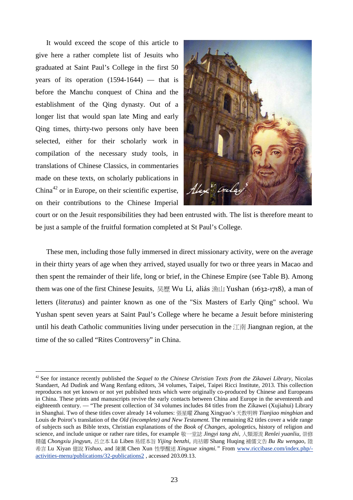It would exceed the scope of this article to give here a rather complete list of Jesuits who graduated at Saint Paul's College in the first 50 years of its operation  $(1594-1644)$  — that is before the Manchu conquest of China and the establishment of the Qing dynasty. Out of a longer list that would span late Ming and early Qing times, thirty-two persons only have been selected, either for their scholarly work in compilation of the necessary study tools, in translations of Chinese Classics, in commentaries made on these texts, on scholarly publications in China<sup>[42](#page-22-0)</sup> or in Europe, on their scientific expertise, on their contributions to the Chinese Imperial



court or on the Jesuit responsibilities they had been entrusted with. The list is therefore meant to be just a sample of the fruitful formation completed at St Paul's College.

These men, including those fully immersed in direct missionary activity, were on the average in their thirty years of age when they arrived, stayed usually for two or three years in Macao and then spent the remainder of their life, long or brief, in the Chinese Empire (see Table B). Among them was one of the first Chinese Jesuits, 吴歷 Wu Li, aliás 漁山 Yushan (1632-1718), a man of letters (*literatus*) and painter known as one of the "Six Masters of Early Qing" school. Wu Yushan spent seven years at Saint Paul's College where he became a Jesuit before ministering until his death Catholic communities living under persecution in the 江南 Jiangnan region, at the time of the so called "Rites Controversy" in China.

<span id="page-22-0"></span> <sup>42</sup> See for instance recently published the *Sequel to the Chinese Christian Texts from the Zikawei Library,* Nicolas Standaert, Ad Dudink and Wang Renfang editors, 34 volumes, Taipei, Taipei Ricci Institute, 2013. This collection reproduces not yet known or not yet published texts which were originally co-produced by Chinese and Europeans in China. These prints and manuscripts revive the early contacts between China and Europe in the seventeenth and eighteenth century. — "The present collection of 34 volumes includes 84 titles from the Zikawei (Xujiahui) Library in Shanghai. Two of these titles cover already 14 volumes: 張星曜 Zhang Xingyao's 天教明辨 *Tianjiao mingbian* and Louis de Poirot's translation of the *Old (incomplete) and New Testament.* The remaining 82 titles cover a wide range of subjects such as Bible texts, Christian explanations of the *Book of Changes*, apologetics, history of religion and science, and include unique or rather rare titles, for example 敬一堂誌 *Jingyi tang zhi*, 人類源流 *Renlei yuanliu*, 崇修 精蘊 *Chongxiu jingyun*, 呂立本 Lü Liben 易經本旨 *Yijing benzhi*, 尚祜卿 Shang Huqing 補儒文告 *Bu Ru wengao*, 陸 希言 Lu Xiyan 億說 *Yishuo*, and 陳薰 Chen Xun 性學醒迷 *Xingxue xingmi."* From [www.riccibase.com/index.php/](http://www.riccibase.com/index.php/-activities-menu/publications/32-publications2) [activities-menu/publications/32-publications2](http://www.riccibase.com/index.php/-activities-menu/publications/32-publications2) , accessed 203.09.13.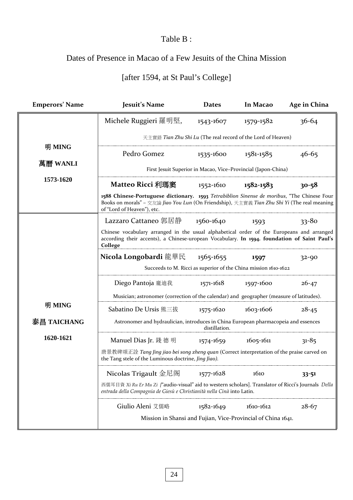## Table B :

# Dates of Presence in Macao of a Few Jesuits of the China Mission

# [after 1594, at St Paul's College]

| <b>Emperors' Name</b> | Jesuit's Name                                                                                                                                                                                                            | <b>Dates</b> | In Macao      | Age in China |  |
|-----------------------|--------------------------------------------------------------------------------------------------------------------------------------------------------------------------------------------------------------------------|--------------|---------------|--------------|--|
|                       | Michele Ruggieri 羅明堅,                                                                                                                                                                                                    | 1543-1607    | 1579-1582     | $36 - 64$    |  |
|                       | 天主實錄 Tian Zhu Shi Lu (The real record of the Lord of Heaven)                                                                                                                                                             |              |               |              |  |
| 明 MING                | Pedro Gomez                                                                                                                                                                                                              | 1535-1600    | 1581-1585     | $46 - 65$    |  |
| 萬曆 WANLI              | First Jesuit Superior in Macao, Vice-Provincial (Japon-China)                                                                                                                                                            |              |               |              |  |
| 1573-1620             | Matteo Ricci 利瑪窦                                                                                                                                                                                                         | 1552-1610    | 1582-1583     | $30 - 58$    |  |
|                       | 1588 Chinese-Portuguese dictionary. 1593 Tetrabiblion Sinense de moribus, "The Chinese Four<br>Books on morals" - 交友論 Jiao You Lun (On Friendship), 天主實義 Tian Zhu Shi Yi (The real meaning<br>of "Lord of Heaven"), etc. |              |               |              |  |
|                       | Lazzaro Cattaneo 郭居静                                                                                                                                                                                                     | 1560-1640    | 1593          | $33 - 80$    |  |
|                       | Chinese vocabulary arranged in the usual alphabetical order of the Europeans and arranged<br>according their accents), a Chinese-uropean Vocabulary. In 1594. foundation of Saint Paul's<br>College                      |              |               |              |  |
|                       | <b>Nicola Longobardi</b> 龍華民                                                                                                                                                                                             | 1565-1655    | 1597          | $32 - 90$    |  |
|                       | Succeeds to M. Ricci as superior of the China mission 1610-1622                                                                                                                                                          |              |               |              |  |
|                       | Diego Pantoja 龐迪我                                                                                                                                                                                                        | 1571-1618    | 1597-1600     | $26 - 47$    |  |
|                       | Musician; astronomer (correction of the calendar) and geographer (measure of latitudes).                                                                                                                                 |              |               |              |  |
| 明 MING                | Sabatino De Ursis 熊三拔                                                                                                                                                                                                    | 1575-1620    | 1603-1606     | $28 - 45$    |  |
| 泰昌 TAICHANG           | Astronomer and hydraulician, introduces in China European pharmacopeia and essences<br>distillation.                                                                                                                     |              |               |              |  |
| 1620-1621             | Manuel Dias Jr. 錢 德 明                                                                                                                                                                                                    | 1574-1659    | 1605-1611     | $31 - 85$    |  |
|                       | 唐景教碑颂正詮 Tang Jing jiao bei song zheng quan (Correct interpretation of the praise carved on<br>the Tang stele of the Luminous doctrine, Jing Jiao).                                                                       |              |               |              |  |
|                       | Nicolas Trigault 金尼阁                                                                                                                                                                                                     | 1577-1628    | 1610          | $33 - 51$    |  |
|                       | 西儒耳目資 Xi Ru Er Mu Zi ["audio-visual" aid to western scholars]. Translator of Ricci's Journals Della<br>entrada della Compagnia de Giesù e Christianità nella Cinà into Latin.                                            |              |               |              |  |
|                       | Giulio Aleni 艾儒略                                                                                                                                                                                                         | 1582-1649    | $1610 - 1612$ | $28 - 67$    |  |
|                       | Mission in Shansi and Fujian, Vice-Provincial of China 1641.                                                                                                                                                             |              |               |              |  |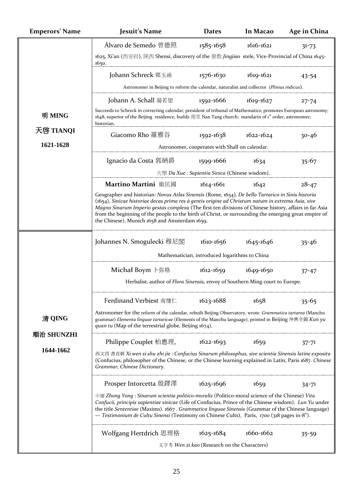| <b>Emperors' Name</b> | Jesuit's Name                                                                                                                                                                                                                                                                                                                                                                                                                                                              | <b>Dates</b>                                | In Macao      | Age in China |  |
|-----------------------|----------------------------------------------------------------------------------------------------------------------------------------------------------------------------------------------------------------------------------------------------------------------------------------------------------------------------------------------------------------------------------------------------------------------------------------------------------------------------|---------------------------------------------|---------------|--------------|--|
|                       | Álvaro de Semedo 曾德照                                                                                                                                                                                                                                                                                                                                                                                                                                                       | 1585-1658                                   | $1616 - 1621$ | $31 - 73$    |  |
|                       | 1625, Xi'an (西安府), 陝西 Shensi, discovery of the 景教 Jingjiao stele, Vice-Provincial of China 1645-<br>1650.                                                                                                                                                                                                                                                                                                                                                                  |                                             |               |              |  |
|                       | Johann Schreck 鄧玉函                                                                                                                                                                                                                                                                                                                                                                                                                                                         | 1576-1630                                   | 1619-1621     | 43-54        |  |
|                       | Astronomer in Beijing to reform the calendar, naturalist and collector (Plinius indicus).                                                                                                                                                                                                                                                                                                                                                                                  |                                             |               |              |  |
|                       | Johann A. Schall 湯若望                                                                                                                                                                                                                                                                                                                                                                                                                                                       | 1592-1666                                   | 1619-1627     | $27 - 74$    |  |
| 明 MING                | Succeeds to Schreck in correcting calendar; president of tribunal of Mathematics; promotes European astronomy;<br>1648, superior of the Beijing residence, builds 南堂 Nan Tang church; mandarin of $i^{st}$ order, astronomer;<br>historian.                                                                                                                                                                                                                                |                                             |               |              |  |
| 天啓 TIANQI             | Giacomo Rho 羅雅谷                                                                                                                                                                                                                                                                                                                                                                                                                                                            | 1592-1638                                   | $1622 - 1624$ | $30 - 46$    |  |
| 1621-1628             | Astronomer, cooperates with Shall on calendar.                                                                                                                                                                                                                                                                                                                                                                                                                             |                                             |               |              |  |
|                       | Ignacio da Costa 郭納爵                                                                                                                                                                                                                                                                                                                                                                                                                                                       | 1599-1666                                   | 1634          | $35 - 67$    |  |
|                       | $\overline{\mathcal{H}}$ $\overline{\mathcal{H}}$ <i>Da Xue</i> : <i>Sapientia Sinica</i> (Chinese wisdom).                                                                                                                                                                                                                                                                                                                                                                |                                             |               |              |  |
|                       | Martino Martini 衛匡國                                                                                                                                                                                                                                                                                                                                                                                                                                                        | 1614-1661                                   | 1642          | $28 - 47$    |  |
|                       | Geographer and historian: Novus Atlas Sinensis (Rome, 1654), De bello Tartarico in Sinis historia<br>(1654), Sinicae historiae decas prima res à gentis origine ad Christum natum in extrema Asia, sive<br>Magno Sinarum Imperio gestas complexa (The first ten divisions of Chinese history, affairs in far Asia<br>from the beginning of the people to the birth of Christ, or surrounding the emerging great empire of<br>the Chinese), Munich 1658 and Amsterdam 1659. |                                             |               |              |  |
|                       | Johannes N. Smogulecki 穆尼閣                                                                                                                                                                                                                                                                                                                                                                                                                                                 | 1610-1656                                   | 1645-1646     | $35 - 46$    |  |
|                       | Mathematician, introduced logarithms to China                                                                                                                                                                                                                                                                                                                                                                                                                              |                                             |               |              |  |
|                       | Michał Boym ト弥格                                                                                                                                                                                                                                                                                                                                                                                                                                                            | $1612 - 1659$                               | 1649-1650     | $37 - 47$    |  |
|                       | Herbalist, author of Flora Sinensis, envoy of Southern Ming court to Europe.                                                                                                                                                                                                                                                                                                                                                                                               |                                             |               |              |  |
|                       | Ferdinand Verbiest 南懷仁                                                                                                                                                                                                                                                                                                                                                                                                                                                     | 1623-1688                                   | 1658          | $35 - 65$    |  |
| 清 QING<br>順治 SHUNZHI  | Astronomer for the reform of the calendar, rebuilt Beijing Observatory, wrote Grammatica tartarea (Manchu<br>grammar) Elementa linguae tartaricae (Elements of the Manchu language), printed in Beijing 坤輿全圖 Kun yu<br>quan tu (Map of the terrestrial globe, Beijing 1674).                                                                                                                                                                                               |                                             |               |              |  |
|                       | Philippe Couplet 柏應理,                                                                                                                                                                                                                                                                                                                                                                                                                                                      | $1622 - 1693$                               | 1659          | $37 - 71$    |  |
| 1644-1662             | 西文四 書直解 Xi wen si shu zhi jie : Confucius Sinarum philosophus, sive scientia Sinensis latine exposita<br>(Confucius, philosopher of the Chinese, or the Chinese learning explained in Latin, Paris 1687. Chinese<br>Grammar, Chinese Dictionary.                                                                                                                                                                                                                           |                                             |               |              |  |
|                       | Prosper Intorcetta 殷鐸澤                                                                                                                                                                                                                                                                                                                                                                                                                                                     | $1625 - 1696$                               | 1659          | 34-71        |  |
|                       | $\pm$ $\frac{3}{2}$ Zhong Yong : Sinarum scientia politico-moralis (Politico-moral science of the Chinese) Vita<br>Confucii, principis sapientiae sinicae (Life of Confucius, Prince of the Chinese wisdom). Lun Yu under<br>the title Sententiae (Maxims). 1667. Grammatica linguae Sinensis (Grammar of the Chinese language)<br>— Testimonium de Cultu Sinensi (Testimony on Chinese Cults), Paris, 1700 (318 pages in-8 <sup>o</sup> ).                                |                                             |               |              |  |
|                       | Wolfgang Hertdrich 思理格                                                                                                                                                                                                                                                                                                                                                                                                                                                     | $1625 - 1684$                               | $1660 - 1662$ | 35-59        |  |
|                       |                                                                                                                                                                                                                                                                                                                                                                                                                                                                            | 文字考 Wen zi kao (Research on the Characters) |               |              |  |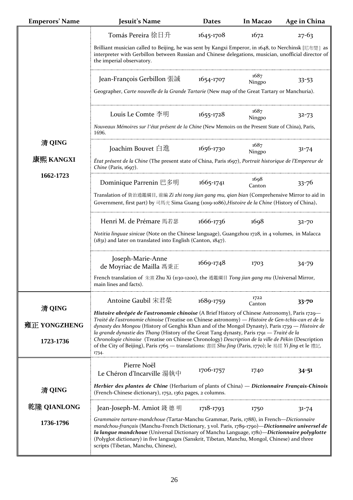| <b>Emperors' Name</b>     | Jesuit's Name                                                                                                                                                                                                                                                                                                                                                                                                                                                                                                                                                                                                                     | <b>Dates</b>  | In Macao       | Age in China |  |
|---------------------------|-----------------------------------------------------------------------------------------------------------------------------------------------------------------------------------------------------------------------------------------------------------------------------------------------------------------------------------------------------------------------------------------------------------------------------------------------------------------------------------------------------------------------------------------------------------------------------------------------------------------------------------|---------------|----------------|--------------|--|
|                           | Tomás Pereira 徐日升                                                                                                                                                                                                                                                                                                                                                                                                                                                                                                                                                                                                                 | 1645-1708     | 1672           | $27 - 63$    |  |
|                           | Brilliant musician called to Beijing, he was sent by Kangxi Emperor, in 1648, to Nerchinsk [尼布楚] as<br>interpreter with Gerbillon between Russian and Chinese delegations, musician, unofficial director of<br>the imperial observatory.                                                                                                                                                                                                                                                                                                                                                                                          |               |                |              |  |
|                           | Jean-François Gerbillon 張誠<br>Geographer, Carte nouvelle de la Grande Tartarie (New map of the Great Tartary or Manchuria).                                                                                                                                                                                                                                                                                                                                                                                                                                                                                                       | 1654-1707     | 1687<br>Ningpo | 33-53        |  |
|                           | Louis Le Comte 李明<br>Nouveaux Mémoires sur l'état présent de la Chine (New Memoirs on the Present State of China), Paris,<br>1696.                                                                                                                                                                                                                                                                                                                                                                                                                                                                                                | 1655-1728     | 1687<br>Ningpo | $32 - 73$    |  |
| 清 QING                    | Joachim Bouvet 白進                                                                                                                                                                                                                                                                                                                                                                                                                                                                                                                                                                                                                 | 1656-1730     | 1687<br>Ningpo | $31 - 74$    |  |
| 康熙 KANGXI                 | État présent de la Chine (The present state of China, Paris 1697), Portrait historique de l'Empereur de<br>Chine (Paris, 1697).                                                                                                                                                                                                                                                                                                                                                                                                                                                                                                   |               |                |              |  |
| 1662-1723                 | Dominique Parrenin 巴多明                                                                                                                                                                                                                                                                                                                                                                                                                                                                                                                                                                                                            | $1665 - 1741$ | 1698<br>Canton | $33 - 76$    |  |
|                           | Translation of 資治通鑑綱目, 前編 Zi zhi tong jian gang mu, qian bian (Comprehensive Mirror to aid in<br>Government, first part) by 司馬光 Sima Guang (1019-1086), Histoire de la Chine (History of China).                                                                                                                                                                                                                                                                                                                                                                                                                                  |               |                |              |  |
|                           | Henri M. de Prémare 馬若瑟                                                                                                                                                                                                                                                                                                                                                                                                                                                                                                                                                                                                           | 1666-1736     | 1698           | $32 - 70$    |  |
|                           | Notitia linguae sinicae (Note on the Chinese language), Guangzhou 1728, in 4 volumes, in Malacca<br>(1831) and later on translated into English (Canton, 1847).                                                                                                                                                                                                                                                                                                                                                                                                                                                                   |               |                |              |  |
|                           | Joseph-Marie-Anne<br>de Moyriac de Mailla 馮秉正                                                                                                                                                                                                                                                                                                                                                                                                                                                                                                                                                                                     | 1669-1748     | 1703           | 34-79        |  |
|                           | French translation of 朱熹 Zhu Xi (1130-1200), the 通鑑綱目 Tong jian gang mu (Universal Mirror,<br>main lines and facts).                                                                                                                                                                                                                                                                                                                                                                                                                                                                                                              |               |                |              |  |
| 清 QING                    | Antoine Gaubil 宋君榮                                                                                                                                                                                                                                                                                                                                                                                                                                                                                                                                                                                                                | 1689-1759     | 1722<br>Canton | $33 - 70$    |  |
| 雍正 YONGZHENG<br>1723-1736 | Histoire abrégée de l'astronomie chinoise (A Brief History of Chinese Astronomy), Paris 1729-<br>Traité de l'astronomie chinoise (Treatise on Chinese astronomy) — Histoire de Gen-tchis-can et de la<br>dynasty des Mongou (History of Genghis Khan and of the Mongol Dynasty), Paris 1739 — Histoire de<br>la grande dynastie des Thang (History of the Great Tang dynasty, Paris 1791 — Traité de la<br>Chronologie chinoise (Treatise on Chinese Chronology) Description de la ville de Pékin (Description<br>of the City of Beijing), Paris 1765 — translations: 書經 Shu Jing (Paris, 1770); le 易經 Yi Jing et le 禮記,<br>1734. |               |                |              |  |
|                           | Pierre Noël<br>Le Chéron d'Incarville 湯執中                                                                                                                                                                                                                                                                                                                                                                                                                                                                                                                                                                                         | 1706-1757     | 1740           | $34 - 51$    |  |
| 清 QING                    | Herbier des plantes de Chine (Herbarium of plants of China) — Dictionnaire Français-Chinois<br>(French-Chinese dictionary), 1752, 1362 pages, 2 columns.                                                                                                                                                                                                                                                                                                                                                                                                                                                                          |               |                |              |  |
| 乾隆 QIANLONG               | Jean-Joseph-M. Amiot 錢 德 明                                                                                                                                                                                                                                                                                                                                                                                                                                                                                                                                                                                                        | 1718-1793     | 1750           | $31 - 74$    |  |
| 1736-1796                 | Grammaire tartare-mandchoue (Tartar-Manchu Grammar, Paris, 1788), in French-Dictionnaire<br>mandchou-français (Manchu-French Dictionary, 3 vol. Paris, 1789-1790)—Dictionnaire universel de<br>la langue mandchoue (Universal Dictionary of Manchu Language, 1781)—Dictionnaire polyglotte<br>(Polyglot dictionary) in five languages (Sanskrit, Tibetan, Manchu, Mongol, Chinese) and three<br>scripts (Tibetan, Manchu, Chinese),                                                                                                                                                                                               |               |                |              |  |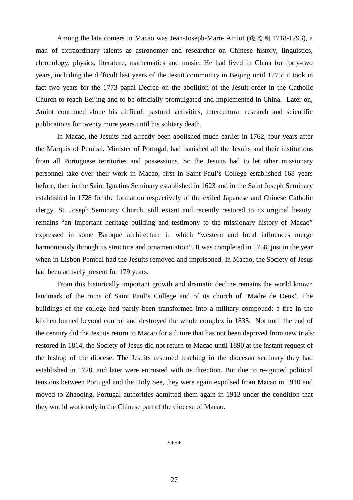Among the late comers in Macao was Jean-Joseph-Marie Amiot (錢 德 明 1718-1793), a man of extraordinary talents as astronomer and researcher on Chinese history, linguistics, chronology, physics, literature, mathematics and music. He had lived in China for forty-two years, including the difficult last years of the Jesuit community in Beijing until 1775: it took in fact two years for the 1773 papal Decree on the abolition of the Jesuit order in the Catholic Church to reach Beijing and to be officially promulgated and implemented in China. Later on, Amiot continued alone his difficult pastoral activities, intercultural research and scientific publications for twenty more years until his solitary death.

In Macao, the Jesuits had already been abolished much earlier in 1762, four years after the Marquis of Pombal, Minister of Portugal, had banished all the Jesuits and their institutions from all Portuguese territories and possessions. So the Jesuits had to let other missionary personnel take over their work in Macao, first in Saint Paul's College established 168 years before, then in the Saint Ignatius Seminary established in 1623 and in the Saint Joseph Seminary established in 1728 for the formation respectively of the exiled Japanese and Chinese Catholic clergy. St. Joseph Seminary Church, still extant and recently restored to its original beauty, remains "an important heritage building and testimony to the missionary history of Macao" expressed in some Baroque architecture in which "western and local influences merge harmoniously through its structure and ornamentation". It was completed in 1758, just in the year when in Lisbon [Pombal](http://www.manresa-sj.org/stamps/3_Friends.htm#1) had the Jesuits removed and imprisoned. In Macao, the Society of Jesus had been actively present for 179 years.

From this historically important growth and dramatic decline remains the world known landmark of the ruins of Saint Paul's College and of its church of 'Madre de Deus'. The buildings of the college had partly been transformed into a military compound: a fire in the kitchen burned beyond control and destroyed the whole complex in 1835. Not until the end of the century did the Jesuits return to Macao for a future that has not been deprived from new trials: restored in 1814, the Society of Jesus did not return to Macao until 1890 at the instant request of the bishop of the diocese. The Jesuits resumed teaching in the diocesan seminary they had established in 1728, and later were entrusted with its direction. But due to re-ignited political tensions between Portugal and the Holy See, they were again expulsed from Macao in 1910 and moved to Zhaoqing. Portugal authorities admitted them again in 1913 under the condition that they would work only in the Chinese part of the diocese of Macao.

\*\*\*\*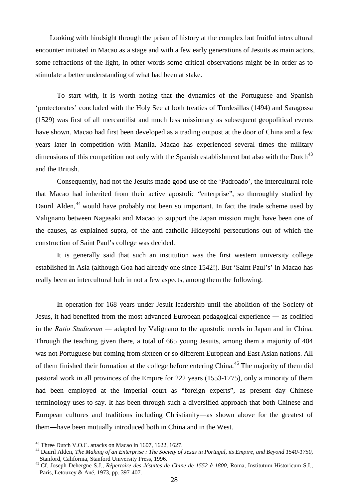Looking with hindsight through the prism of history at the complex but fruitful intercultural encounter initiated in Macao as a stage and with a few early generations of Jesuits as main actors, some refractions of the light, in other words some critical observations might be in order as to stimulate a better understanding of what had been at stake.

To start with, it is worth noting that the dynamics of the Portuguese and Spanish 'protectorates' concluded with the Holy See at both treaties of Tordesillas (1494) and Saragossa (1529) was first of all mercantilist and much less missionary as subsequent geopolitical events have shown. Macao had first been developed as a trading outpost at the door of China and a few years later in competition with Manila. Macao has experienced several times the military dimensions of this competition not only with the Spanish establishment but also with the Dutch $43$ and the British.

Consequently, had not the Jesuits made good use of the 'Padroado', the intercultural role that Macao had inherited from their active apostolic "enterprise", so thoroughly studied by Dauril Alden,<sup>[44](#page-27-1)</sup> would have probably not been so important. In fact the trade scheme used by Valignano between Nagasaki and Macao to support the Japan mission might have been one of the causes, as explained supra, of the anti-catholic Hideyoshi persecutions out of which the construction of Saint Paul's college was decided.

It is generally said that such an institution was the first western university college established in Asia (although Goa had already one since 1542!). But 'Saint Paul's' in Macao has really been an intercultural hub in not a few aspects, among them the following.

In operation for 168 years under Jesuit leadership until the abolition of the Society of Jesus, it had benefited from the most advanced European pedagogical experience ― as codified in the *Ratio Studiorum ―* adapted by Valignano to the apostolic needs in Japan and in China. Through the teaching given there, a total of 665 young Jesuits, among them a majority of 404 was not Portuguese but coming from sixteen or so different European and East Asian nations. All of them finished their formation at the college before entering China.<sup>[45](#page-27-2)</sup> The majority of them did pastoral work in all provinces of the Empire for 222 years (1553-1775), only a minority of them had been employed at the imperial court as "foreign experts", as present day Chinese terminology uses to say. It has been through such a diversified approach that both Chinese and European cultures and traditions including Christianity―as shown above for the greatest of them―have been mutually introduced both in China and in the West.

<span id="page-27-1"></span><span id="page-27-0"></span><sup>&</sup>lt;sup>43</sup> Three Dutch V.O.C. attacks on Macao in 1607, 1622, 1627.<br><sup>44</sup> Dauril Alden, *The Making of an Enterprise : The Society of Jesus in Portugal, its Empire, and Beyond 1540-1750,<br>Stanford, California, Stanford University* 

<span id="page-27-2"></span>Stanford, California, Stanford University Press, 1996. <sup>45</sup> Cf. Joseph Dehergne S.J., *Répertoire des Jésuites de Chine de 1552 à 1800*, Roma, Institutum Historicum S.I., Paris, Letouzey & Ané, 1973, pp. 397-407.